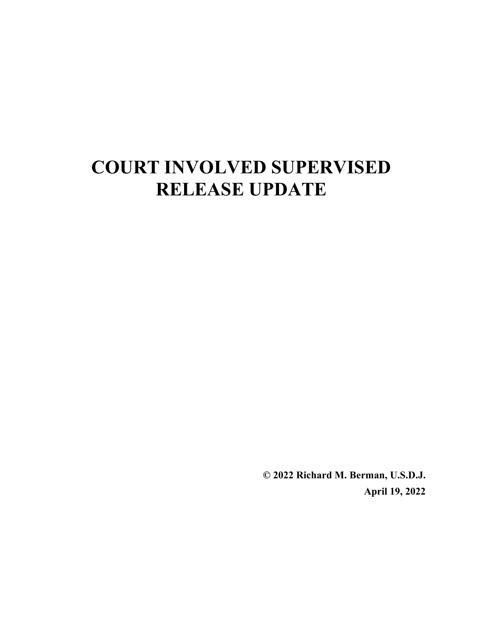# **COURT INVOLVED SUPERVISED RELEASE UPDATE**

**© 2022 Richard M. Berman, U.S.D.J. April 19, 2022**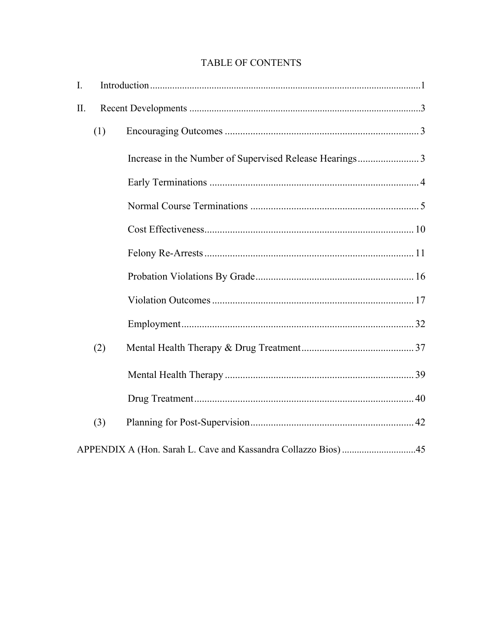# TABLE OF CONTENTS

| I.  |     |  |
|-----|-----|--|
| II. |     |  |
|     | (1) |  |
|     |     |  |
|     |     |  |
|     |     |  |
|     |     |  |
|     |     |  |
|     |     |  |
|     |     |  |
|     |     |  |
|     | (2) |  |
|     |     |  |
|     |     |  |
|     | (3) |  |
|     |     |  |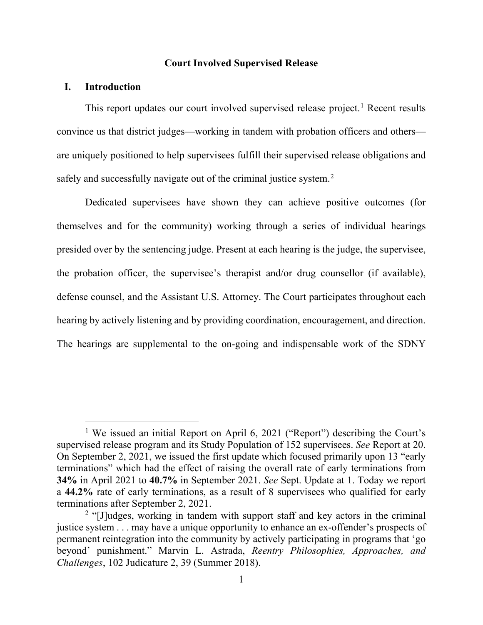#### **Court Involved Supervised Release**

#### <span id="page-2-0"></span>**I. Introduction**

This report updates our court involved supervised release project.<sup>[1](#page-2-1)</sup> Recent results convince us that district judges—working in tandem with probation officers and others are uniquely positioned to help supervisees fulfill their supervised release obligations and safely and successfully navigate out of the criminal justice system.<sup>[2](#page-2-2)</sup>

Dedicated supervisees have shown they can achieve positive outcomes (for themselves and for the community) working through a series of individual hearings presided over by the sentencing judge. Present at each hearing is the judge, the supervisee, the probation officer, the supervisee's therapist and/or drug counsellor (if available), defense counsel, and the Assistant U.S. Attorney. The Court participates throughout each hearing by actively listening and by providing coordination, encouragement, and direction. The hearings are supplemental to the on-going and indispensable work of the SDNY

<span id="page-2-1"></span><sup>&</sup>lt;sup>1</sup> We issued an initial Report on April 6, 2021 ("Report") describing the Court's supervised release program and its Study Population of 152 supervisees. *See* Report at 20. On September 2, 2021, we issued the first update which focused primarily upon 13 "early terminations" which had the effect of raising the overall rate of early terminations from **34%** in April 2021 to **40.7%** in September 2021. *See* Sept. Update at 1. Today we report a **44.2%** rate of early terminations, as a result of 8 supervisees who qualified for early terminations after September 2, 2021.

<span id="page-2-2"></span><sup>&</sup>lt;sup>2</sup> "[J]udges, working in tandem with support staff and key actors in the criminal justice system . . . may have a unique opportunity to enhance an ex-offender's prospects of permanent reintegration into the community by actively participating in programs that 'go beyond' punishment." Marvin L. Astrada, *Reentry Philosophies, Approaches, and Challenges*, 102 Judicature 2, 39 (Summer 2018).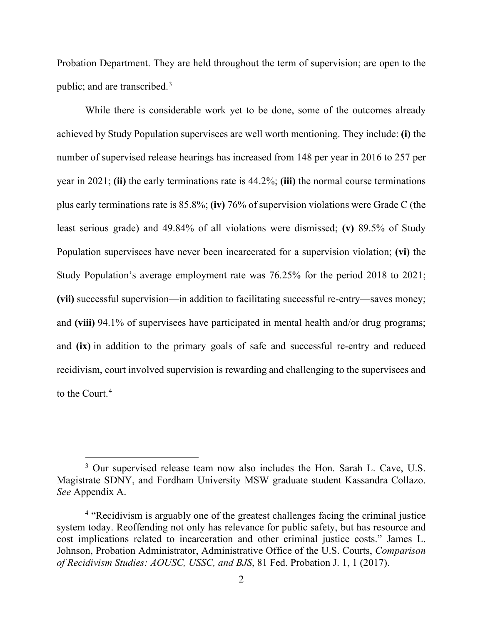Probation Department. They are held throughout the term of supervision; are open to the public; and are transcribed.<sup>[3](#page-3-0)</sup>

While there is considerable work yet to be done, some of the outcomes already achieved by Study Population supervisees are well worth mentioning. They include: **(i)** the number of supervised release hearings has increased from 148 per year in 2016 to 257 per year in 2021; **(ii)** the early terminations rate is 44.2%; **(iii)** the normal course terminations plus early terminations rate is 85.8%; **(iv)** 76% of supervision violations were Grade C (the least serious grade) and 49.84% of all violations were dismissed; **(v)** 89.5% of Study Population supervisees have never been incarcerated for a supervision violation; **(vi)** the Study Population's average employment rate was 76.25% for the period 2018 to 2021; **(vii)** successful supervision—in addition to facilitating successful re-entry—saves money; and **(viii)** 94.1% of supervisees have participated in mental health and/or drug programs; and **(ix)** in addition to the primary goals of safe and successful re-entry and reduced recidivism, court involved supervision is rewarding and challenging to the supervisees and to the Court.<sup>[4](#page-3-1)</sup>

<span id="page-3-0"></span><sup>&</sup>lt;sup>3</sup> Our supervised release team now also includes the Hon. Sarah L. Cave, U.S. Magistrate SDNY, and Fordham University MSW graduate student Kassandra Collazo. *See* Appendix A.

<span id="page-3-1"></span><sup>&</sup>lt;sup>4</sup> "Recidivism is arguably one of the greatest challenges facing the criminal justice system today. Reoffending not only has relevance for public safety, but has resource and cost implications related to incarceration and other criminal justice costs." James L. Johnson, Probation Administrator, Administrative Office of the U.S. Courts, *Comparison of Recidivism Studies: AOUSC, USSC, and BJS*, 81 Fed. Probation J. 1, 1 (2017).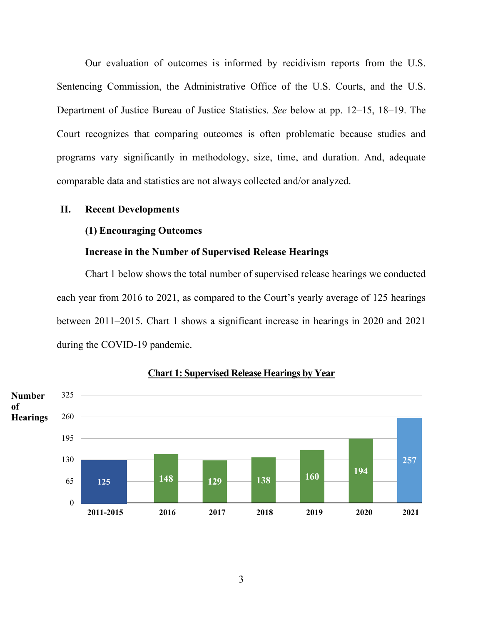Our evaluation of outcomes is informed by recidivism reports from the U.S. Sentencing Commission, the Administrative Office of the U.S. Courts, and the U.S. Department of Justice Bureau of Justice Statistics. *See* below at pp. 12–15, 18–19. The Court recognizes that comparing outcomes is often problematic because studies and programs vary significantly in methodology, size, time, and duration. And, adequate comparable data and statistics are not always collected and/or analyzed.

# <span id="page-4-1"></span><span id="page-4-0"></span>**II. Recent Developments**

#### **(1) Encouraging Outcomes**

#### **Increase in the Number of Supervised Release Hearings**

<span id="page-4-2"></span>Chart 1 below shows the total number of supervised release hearings we conducted each year from 2016 to 2021, as compared to the Court's yearly average of 125 hearings between 2011–2015. Chart 1 shows a significant increase in hearings in 2020 and 2021 during the COVID-19 pandemic.



#### **Chart 1: Supervised Release Hearings by Year**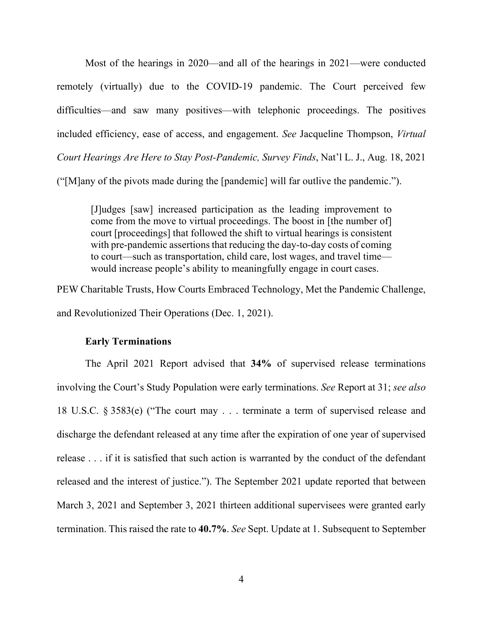Most of the hearings in 2020—and all of the hearings in 2021—were conducted remotely (virtually) due to the COVID-19 pandemic. The Court perceived few difficulties—and saw many positives—with telephonic proceedings. The positives included efficiency, ease of access, and engagement. *See* Jacqueline Thompson, *Virtual Court Hearings Are Here to Stay Post-Pandemic, Survey Finds*, Nat'l L. J., Aug. 18, 2021 ("[M]any of the pivots made during the [pandemic] will far outlive the pandemic.").

[J]udges [saw] increased participation as the leading improvement to come from the move to virtual proceedings. The boost in [the number of] court [proceedings] that followed the shift to virtual hearings is consistent with pre-pandemic assertions that reducing the day-to-day costs of coming to court—such as transportation, child care, lost wages, and travel time would increase people's ability to meaningfully engage in court cases.

PEW Charitable Trusts, How Courts Embraced Technology, Met the Pandemic Challenge, and Revolutionized Their Operations (Dec. 1, 2021).

#### **Early Terminations**

<span id="page-5-0"></span>The April 2021 Report advised that **34%** of supervised release terminations involving the Court's Study Population were early terminations. *See* Report at 31; *see also*  18 U.S.C. § 3583(e) ("The court may . . . terminate a term of supervised release and discharge the defendant released at any time after the expiration of one year of supervised release . . . if it is satisfied that such action is warranted by the conduct of the defendant released and the interest of justice."). The September 2021 update reported that between March 3, 2021 and September 3, 2021 thirteen additional supervisees were granted early termination. This raised the rate to **40.7%**. *See* Sept. Update at 1. Subsequent to September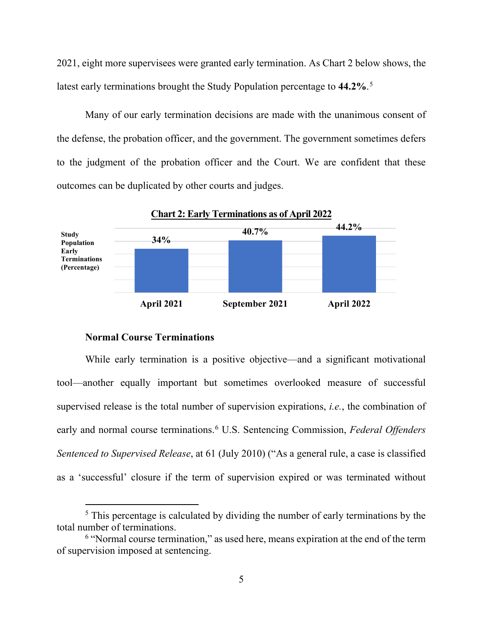2021, eight more supervisees were granted early termination. As Chart 2 below shows, the latest early terminations brought the Study Population percentage to **44.2%**. [5](#page-6-1)

Many of our early termination decisions are made with the unanimous consent of the defense, the probation officer, and the government. The government sometimes defers to the judgment of the probation officer and the Court. We are confident that these outcomes can be duplicated by other courts and judges.



#### **Normal Course Terminations**

<span id="page-6-0"></span>While early termination is a positive objective—and a significant motivational tool—another equally important but sometimes overlooked measure of successful supervised release is the total number of supervision expirations, *i.e.*, the combination of early and normal course terminations. [6](#page-6-2) U.S. Sentencing Commission, *Federal Offenders Sentenced to Supervised Release*, at 61 (July 2010) ("As a general rule, a case is classified as a 'successful' closure if the term of supervision expired or was terminated without

<span id="page-6-1"></span><sup>&</sup>lt;sup>5</sup> This percentage is calculated by dividing the number of early terminations by the total number of terminations.

<span id="page-6-2"></span><sup>6</sup> "Normal course termination," as used here, means expiration at the end of the term of supervision imposed at sentencing.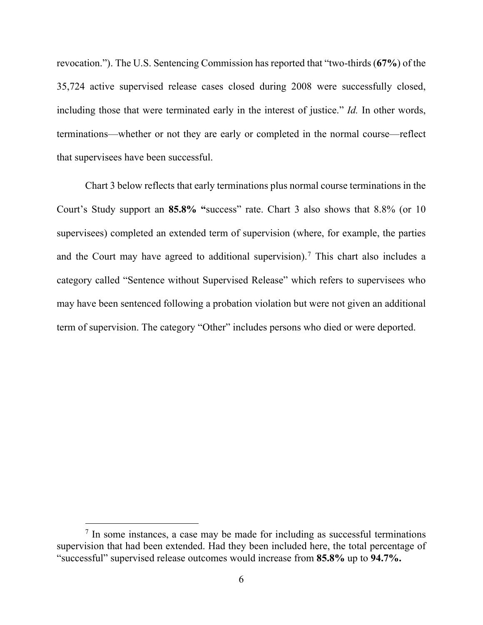revocation."). The U.S. Sentencing Commission has reported that "two-thirds (**67%**) of the 35,724 active supervised release cases closed during 2008 were successfully closed, including those that were terminated early in the interest of justice." *Id.* In other words, terminations—whether or not they are early or completed in the normal course—reflect that supervisees have been successful.

Chart 3 below reflects that early terminations plus normal course terminations in the Court's Study support an **85.8% "**success" rate. Chart 3 also shows that 8.8% (or 10 supervisees) completed an extended term of supervision (where, for example, the parties and the Court may have agreed to additional supervision). [7](#page-7-0) This chart also includes a category called "Sentence without Supervised Release" which refers to supervisees who may have been sentenced following a probation violation but were not given an additional term of supervision. The category "Other" includes persons who died or were deported.

<span id="page-7-0"></span> $<sup>7</sup>$  In some instances, a case may be made for including as successful terminations</sup> supervision that had been extended. Had they been included here, the total percentage of "successful" supervised release outcomes would increase from **85.8%** up to **94.7%.**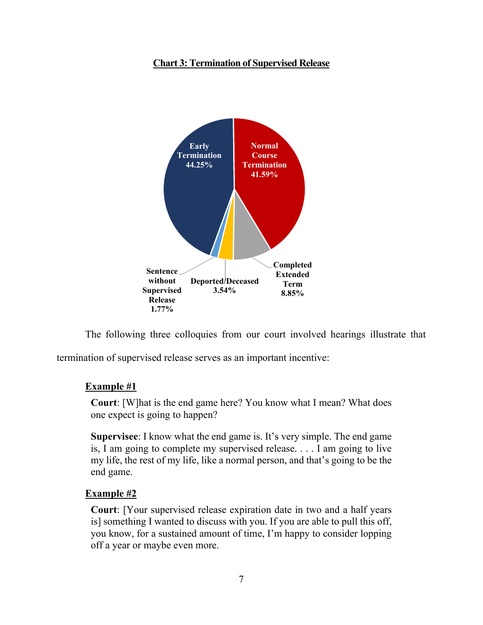# **Chart 3: Termination of Supervised Release**



The following three colloquies from our court involved hearings illustrate that

termination of supervised release serves as an important incentive:

# **Example #1**

**Court**: [W]hat is the end game here? You know what I mean? What does one expect is going to happen?

**Supervisee**: I know what the end game is. It's very simple. The end game is, I am going to complete my supervised release. . . . I am going to live my life, the rest of my life, like a normal person, and that's going to be the end game.

#### **Example #2**

**Court**: [Your supervised release expiration date in two and a half years is] something I wanted to discuss with you. If you are able to pull this off, you know, for a sustained amount of time, I'm happy to consider lopping off a year or maybe even more.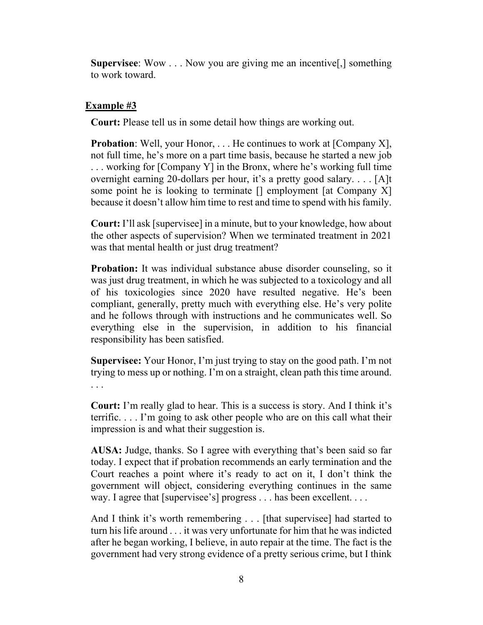**Supervisee**: Wow . . . Now you are giving me an incentive[,] something to work toward.

# **Example #3**

**Court:** Please tell us in some detail how things are working out.

**Probation**: Well, your Honor, . . . He continues to work at [Company X], not full time, he's more on a part time basis, because he started a new job . . . working for [Company Y] in the Bronx, where he's working full time overnight earning 20-dollars per hour, it's a pretty good salary. . . . [A]t some point he is looking to terminate  $[]$  employment [at Company X] because it doesn't allow him time to rest and time to spend with his family.

**Court:** I'll ask [supervisee] in a minute, but to your knowledge, how about the other aspects of supervision? When we terminated treatment in 2021 was that mental health or just drug treatment?

**Probation:** It was individual substance abuse disorder counseling, so it was just drug treatment, in which he was subjected to a toxicology and all of his toxicologies since 2020 have resulted negative. He's been compliant, generally, pretty much with everything else. He's very polite and he follows through with instructions and he communicates well. So everything else in the supervision, in addition to his financial responsibility has been satisfied.

**Supervisee:** Your Honor, I'm just trying to stay on the good path. I'm not trying to mess up or nothing. I'm on a straight, clean path this time around. . . .

**Court:** I'm really glad to hear. This is a success is story. And I think it's terrific. . . . I'm going to ask other people who are on this call what their impression is and what their suggestion is.

**AUSA:** Judge, thanks. So I agree with everything that's been said so far today. I expect that if probation recommends an early termination and the Court reaches a point where it's ready to act on it, I don't think the government will object, considering everything continues in the same way. I agree that [supervisee's] progress . . . has been excellent. . . .

And I think it's worth remembering . . . [that supervisee] had started to turn his life around . . . it was very unfortunate for him that he was indicted after he began working, I believe, in auto repair at the time. The fact is the government had very strong evidence of a pretty serious crime, but I think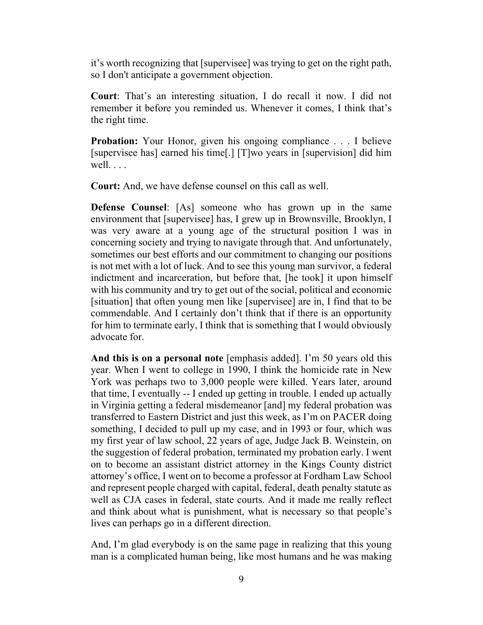it's worth recognizing that [supervisee] was trying to get on the right path, so I don't anticipate a government objection.

**Court**: That's an interesting situation, I do recall it now. I did not remember it before you reminded us. Whenever it comes, I think that's the right time.

**Probation:** Your Honor, given his ongoing compliance . . . I believe [supervisee has] earned his time[.] [T]wo years in [supervision] did him well. . . .

**Court:** And, we have defense counsel on this call as well.

**Defense Counsel**: [As] someone who has grown up in the same environment that [supervisee] has, I grew up in Brownsville, Brooklyn, I was very aware at a young age of the structural position I was in concerning society and trying to navigate through that. And unfortunately, sometimes our best efforts and our commitment to changing our positions is not met with a lot of luck. And to see this young man survivor, a federal indictment and incarceration, but before that, [he took] it upon himself with his community and try to get out of the social, political and economic [situation] that often young men like [supervisee] are in, I find that to be commendable. And I certainly don't think that if there is an opportunity for him to terminate early, I think that is something that I would obviously advocate for.

**And this is on a personal note** [emphasis added]. I'm 50 years old this year. When I went to college in 1990, I think the homicide rate in New York was perhaps two to 3,000 people were killed. Years later, around that time, I eventually -- I ended up getting in trouble. I ended up actually in Virginia getting a federal misdemeanor [and] my federal probation was transferred to Eastern District and just this week, as I'm on PACER doing something, I decided to pull up my case, and in 1993 or four, which was my first year of law school, 22 years of age, Judge Jack B. Weinstein, on the suggestion of federal probation, terminated my probation early. I went on to become an assistant district attorney in the Kings County district attorney's office, I went on to become a professor at Fordham Law School and represent people charged with capital, federal, death penalty statute as well as CJA cases in federal, state courts. And it made me really reflect and think about what is punishment, what is necessary so that people's lives can perhaps go in a different direction.

And, I'm glad everybody is on the same page in realizing that this young man is a complicated human being, like most humans and he was making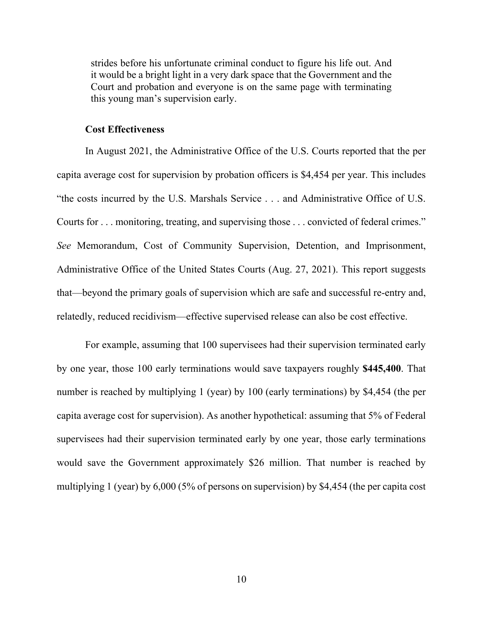strides before his unfortunate criminal conduct to figure his life out. And it would be a bright light in a very dark space that the Government and the Court and probation and everyone is on the same page with terminating this young man's supervision early.

#### **Cost Effectiveness**

<span id="page-11-0"></span>In August 2021, the Administrative Office of the U.S. Courts reported that the per capita average cost for supervision by probation officers is \$4,454 per year. This includes "the costs incurred by the U.S. Marshals Service . . . and Administrative Office of U.S. Courts for . . . monitoring, treating, and supervising those . . . convicted of federal crimes." *See* Memorandum, Cost of Community Supervision, Detention, and Imprisonment, Administrative Office of the United States Courts (Aug. 27, 2021). This report suggests that—beyond the primary goals of supervision which are safe and successful re-entry and, relatedly, reduced recidivism—effective supervised release can also be cost effective.

For example, assuming that 100 supervisees had their supervision terminated early by one year, those 100 early terminations would save taxpayers roughly **\$445,400**. That number is reached by multiplying 1 (year) by 100 (early terminations) by \$4,454 (the per capita average cost for supervision). As another hypothetical: assuming that 5% of Federal supervisees had their supervision terminated early by one year, those early terminations would save the Government approximately \$26 million. That number is reached by multiplying 1 (year) by 6,000 (5% of persons on supervision) by \$4,454 (the per capita cost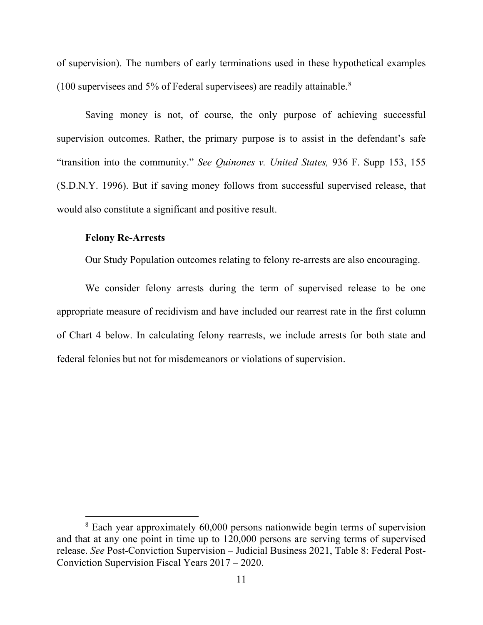of supervision). The numbers of early terminations used in these hypothetical examples (100 supervisees and 5% of Federal supervisees) are readily attainable.[8](#page-12-1)

Saving money is not, of course, the only purpose of achieving successful supervision outcomes. Rather, the primary purpose is to assist in the defendant's safe "transition into the community." *See Quinones v. United States,* 936 F. Supp 153, 155 (S.D.N.Y. 1996). But if saving money follows from successful supervised release, that would also constitute a significant and positive result.

#### <span id="page-12-0"></span>**Felony Re-Arrests**

Our Study Population outcomes relating to felony re-arrests are also encouraging.

We consider felony arrests during the term of supervised release to be one appropriate measure of recidivism and have included our rearrest rate in the first column of Chart 4 below. In calculating felony rearrests, we include arrests for both state and federal felonies but not for misdemeanors or violations of supervision.

<span id="page-12-1"></span><sup>8</sup> Each year approximately 60,000 persons nationwide begin terms of supervision and that at any one point in time up to 120,000 persons are serving terms of supervised release. *See* Post-Conviction Supervision – Judicial Business 2021, Table 8: Federal Post-Conviction Supervision Fiscal Years 2017 – 2020.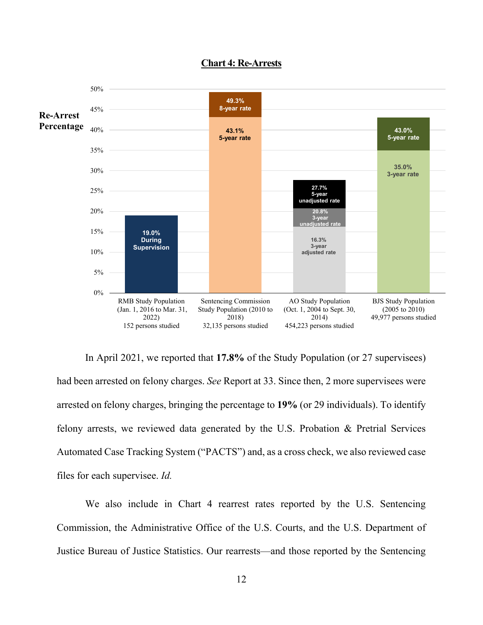

#### **Chart 4: Re-Arrests**

In April 2021, we reported that **17.8%** of the Study Population (or 27 supervisees) had been arrested on felony charges. *See* Report at 33. Since then, 2 more supervisees were arrested on felony charges, bringing the percentage to **19%** (or 29 individuals). To identify felony arrests, we reviewed data generated by the U.S. Probation & Pretrial Services Automated Case Tracking System ("PACTS") and, as a cross check, we also reviewed case files for each supervisee. *Id.*

We also include in Chart 4 rearrest rates reported by the U.S. Sentencing Commission, the Administrative Office of the U.S. Courts, and the U.S. Department of Justice Bureau of Justice Statistics. Our rearrests—and those reported by the Sentencing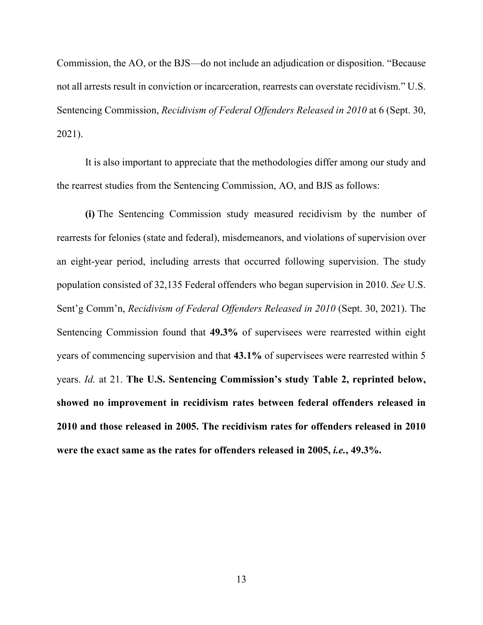Commission, the AO, or the BJS—do not include an adjudication or disposition. "Because not all arrests result in conviction or incarceration, rearrests can overstate recidivism." U.S. Sentencing Commission, *Recidivism of Federal Offenders Released in 2010* at 6 (Sept. 30, 2021).

It is also important to appreciate that the methodologies differ among our study and the rearrest studies from the Sentencing Commission, AO, and BJS as follows:

**(i)** The Sentencing Commission study measured recidivism by the number of rearrests for felonies (state and federal), misdemeanors, and violations of supervision over an eight-year period, including arrests that occurred following supervision. The study population consisted of 32,135 Federal offenders who began supervision in 2010. *See* U.S. Sent'g Comm'n, *Recidivism of Federal Offenders Released in 2010* (Sept. 30, 2021). The Sentencing Commission found that **49.3%** of supervisees were rearrested within eight years of commencing supervision and that **43.1%** of supervisees were rearrested within 5 years. *Id.* at 21. **The U.S. Sentencing Commission's study Table 2, reprinted below, showed no improvement in recidivism rates between federal offenders released in 2010 and those released in 2005. The recidivism rates for offenders released in 2010 were the exact same as the rates for offenders released in 2005,** *i.e.***, 49.3%.**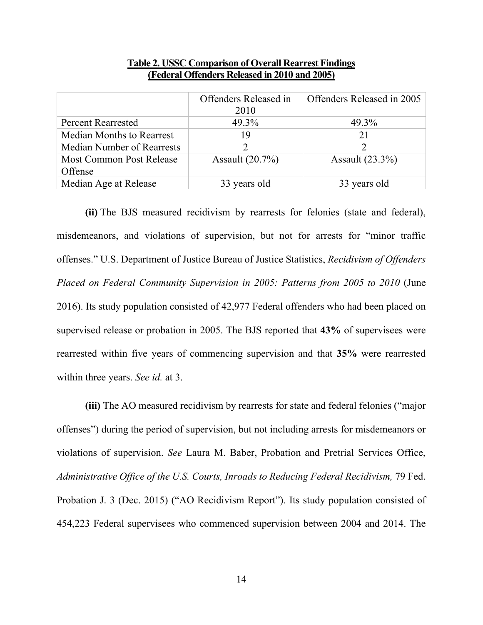|                                   | Offenders Released in | Offenders Released in 2005 |
|-----------------------------------|-----------------------|----------------------------|
|                                   | 2010                  |                            |
| <b>Percent Rearrested</b>         | 49.3%                 | 49.3%                      |
| <b>Median Months to Rearrest</b>  | 19                    | 21                         |
| <b>Median Number of Rearrests</b> | 7                     |                            |
| <b>Most Common Post Release</b>   | Assault $(20.7\%)$    | Assault $(23.3\%)$         |
| Offense                           |                       |                            |
| Median Age at Release             | 33 years old          | 33 years old               |

#### **Table 2. USSC Comparison of Overall Rearrest Findings (Federal Offenders Released in 2010 and 2005)**

**(ii)** The BJS measured recidivism by rearrests for felonies (state and federal), misdemeanors, and violations of supervision, but not for arrests for "minor traffic offenses." U.S. Department of Justice Bureau of Justice Statistics, *Recidivism of Offenders Placed on Federal Community Supervision in 2005: Patterns from 2005 to 2010* (June 2016). Its study population consisted of 42,977 Federal offenders who had been placed on supervised release or probation in 2005. The BJS reported that **43%** of supervisees were rearrested within five years of commencing supervision and that **35%** were rearrested within three years. *See id.* at 3.

**(iii)** The AO measured recidivism by rearrests for state and federal felonies ("major offenses") during the period of supervision, but not including arrests for misdemeanors or violations of supervision. *See* Laura M. Baber, Probation and Pretrial Services Office, Administrative Office of the U.S. Courts, Inroads to Reducing Federal Recidivism, 79 Fed. Probation J. 3 (Dec. 2015) ("AO Recidivism Report"). Its study population consisted of 454,223 Federal supervisees who commenced supervision between 2004 and 2014. The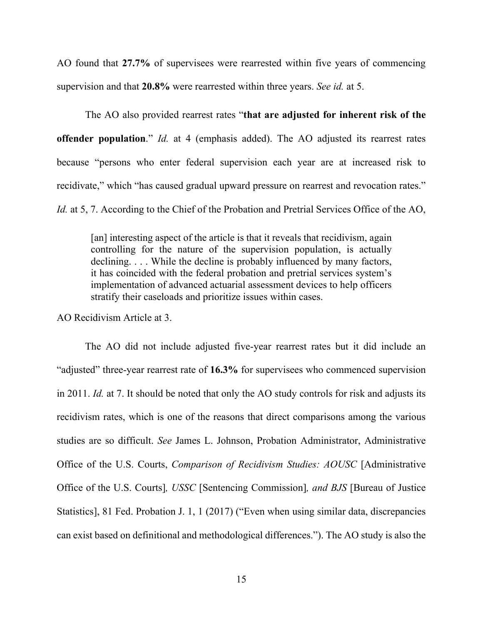AO found that **27.7%** of supervisees were rearrested within five years of commencing supervision and that **20.8%** were rearrested within three years. *See id.* at 5.

The AO also provided rearrest rates "**that are adjusted for inherent risk of the offender population**." *Id.* at 4 (emphasis added). The AO adjusted its rearrest rates because "persons who enter federal supervision each year are at increased risk to recidivate," which "has caused gradual upward pressure on rearrest and revocation rates." *Id.* at 5, 7. According to the Chief of the Probation and Pretrial Services Office of the AO,

[an] interesting aspect of the article is that it reveals that recidivism, again controlling for the nature of the supervision population, is actually declining. . . . While the decline is probably influenced by many factors, it has coincided with the federal probation and pretrial services system's implementation of advanced actuarial assessment devices to help officers stratify their caseloads and prioritize issues within cases.

AO Recidivism Article at 3.

The AO did not include adjusted five-year rearrest rates but it did include an "adjusted" three-year rearrest rate of **16.3%** for supervisees who commenced supervision in 2011. *Id.* at 7. It should be noted that only the AO study controls for risk and adjusts its recidivism rates, which is one of the reasons that direct comparisons among the various studies are so difficult. *See* James L. Johnson, Probation Administrator, Administrative Office of the U.S. Courts, *Comparison of Recidivism Studies: AOUSC* [Administrative Office of the U.S. Courts]*, USSC* [Sentencing Commission]*, and BJS* [Bureau of Justice Statistics], 81 Fed. Probation J. 1, 1 (2017) ("Even when using similar data, discrepancies can exist based on definitional and methodological differences."). The AO study is also the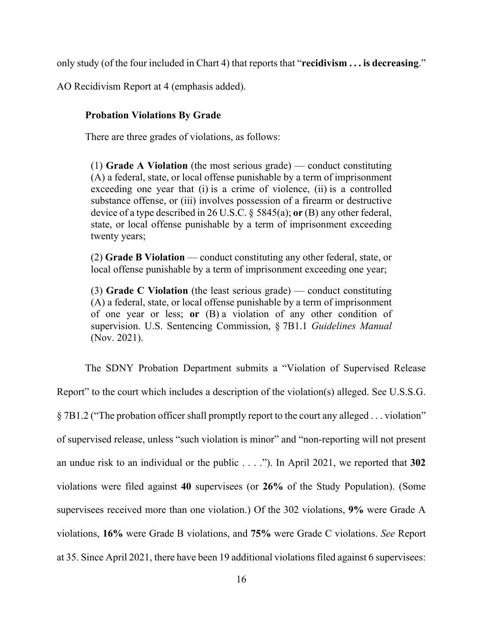only study (of the four included in Chart 4) that reports that "**recidivism . . . is decreasing**."

<span id="page-17-0"></span>AO Recidivism Report at 4 (emphasis added).

## **Probation Violations By Grade**

There are three grades of violations, as follows:

(1) **Grade A Violation** (the most serious grade) — conduct constituting (A) a federal, state, or local offense punishable by a term of imprisonment exceeding one year that (i) is a crime of violence, (ii) is a controlled substance offense, or (iii) involves possession of a firearm or destructive device of a type described in 26 U.S.C. § 5845(a); **or** (B) any other federal, state, or local offense punishable by a term of imprisonment exceeding twenty years;

(2) **Grade B Violation** — conduct constituting any other federal, state, or local offense punishable by a term of imprisonment exceeding one year;

(3) **Grade C Violation** (the least serious grade) — conduct constituting (A) a federal, state, or local offense punishable by a term of imprisonment of one year or less; **or** (B) a violation of any other condition of supervision. U.S. Sentencing Commission, § 7B1.1 *Guidelines Manual* (Nov. 2021).

The SDNY Probation Department submits a "Violation of Supervised Release Report" to the court which includes a description of the violation(s) alleged. See U.S.S.G. § 7B1.2 ("The probation officer shall promptly report to the court any alleged . . . violation" of supervised release, unless "such violation is minor" and "non-reporting will not present an undue risk to an individual or the public . . . ."). In April 2021, we reported that **302** violations were filed against **40** supervisees (or **26%** of the Study Population). (Some supervisees received more than one violation.) Of the 302 violations, **9%** were Grade A violations, **16%** were Grade B violations, and **75%** were Grade C violations. *See* Report at 35. Since April 2021, there have been 19 additional violations filed against 6 supervisees: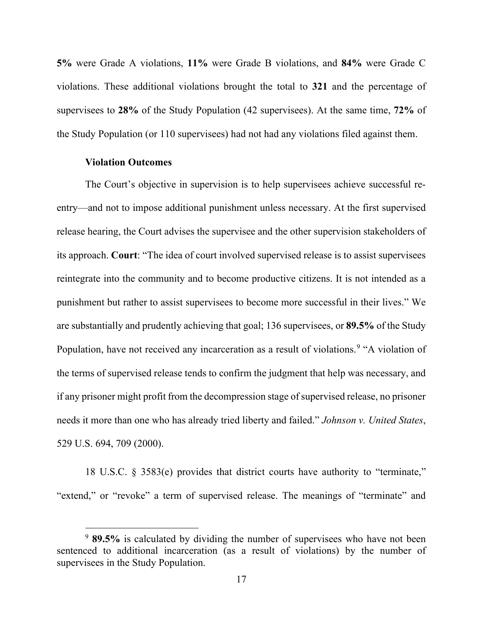**5%** were Grade A violations, **11%** were Grade B violations, and **84%** were Grade C violations. These additional violations brought the total to **321** and the percentage of supervisees to **28%** of the Study Population (42 supervisees). At the same time, **72%** of the Study Population (or 110 supervisees) had not had any violations filed against them.

## **Violation Outcomes**

<span id="page-18-0"></span>The Court's objective in supervision is to help supervisees achieve successful reentry—and not to impose additional punishment unless necessary. At the first supervised release hearing, the Court advises the supervisee and the other supervision stakeholders of its approach. **Court**: "The idea of court involved supervised release is to assist supervisees reintegrate into the community and to become productive citizens. It is not intended as a punishment but rather to assist supervisees to become more successful in their lives." We are substantially and prudently achieving that goal; 136 supervisees, or **89.5%** of the Study Population, have not received any incarceration as a result of violations.<sup>[9](#page-18-1)</sup> "A violation of the terms of supervised release tends to confirm the judgment that help was necessary, and if any prisoner might profit from the decompression stage of supervised release, no prisoner needs it more than one who has already tried liberty and failed." *Johnson v. United States*, 529 U.S. 694, 709 (2000).

18 U.S.C. § 3583(e) provides that district courts have authority to "terminate," "extend," or "revoke" a term of supervised release. The meanings of "terminate" and

<span id="page-18-1"></span><sup>9</sup> **89.5%** is calculated by dividing the number of supervisees who have not been sentenced to additional incarceration (as a result of violations) by the number of supervisees in the Study Population.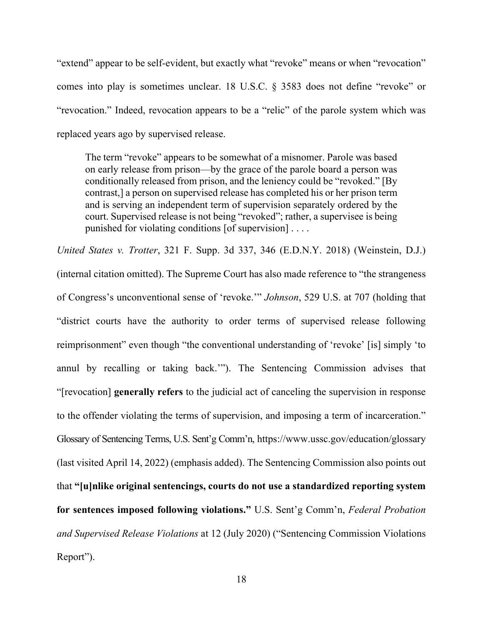"extend" appear to be self-evident, but exactly what "revoke" means or when "revocation" comes into play is sometimes unclear. 18 U.S.C. § 3583 does not define "revoke" or "revocation." Indeed, revocation appears to be a "relic" of the parole system which was replaced years ago by supervised release.

The term "revoke" appears to be somewhat of a misnomer. Parole was based on early release from prison—by the grace of the parole board a person was conditionally released from prison, and the leniency could be "revoked." [By contrast,] a person on supervised release has completed his or her prison term and is serving an independent term of supervision separately ordered by the court. Supervised release is not being "revoked"; rather, a supervisee is being punished for violating conditions [of supervision] . . . .

*United States v. Trotter*, 321 F. Supp. 3d 337, 346 (E.D.N.Y. 2018) (Weinstein, D.J.) (internal citation omitted). The Supreme Court has also made reference to "the strangeness of Congress's unconventional sense of 'revoke.'" *Johnson*, 529 U.S. at 707 (holding that "district courts have the authority to order terms of supervised release following reimprisonment" even though "the conventional understanding of 'revoke' [is] simply 'to annul by recalling or taking back.'"). The Sentencing Commission advises that "[revocation] **generally refers** to the judicial act of canceling the supervision in response to the offender violating the terms of supervision, and imposing a term of incarceration." Glossary of Sentencing Terms, U.S. Sent'g Comm'n, https://www.ussc.gov/education/glossary (last visited April 14, 2022) (emphasis added). The Sentencing Commission also points out that **"[u]nlike original sentencings, courts do not use a standardized reporting system for sentences imposed following violations."** U.S. Sent'g Comm'n, *Federal Probation and Supervised Release Violations* at 12 (July 2020) ("Sentencing Commission Violations Report").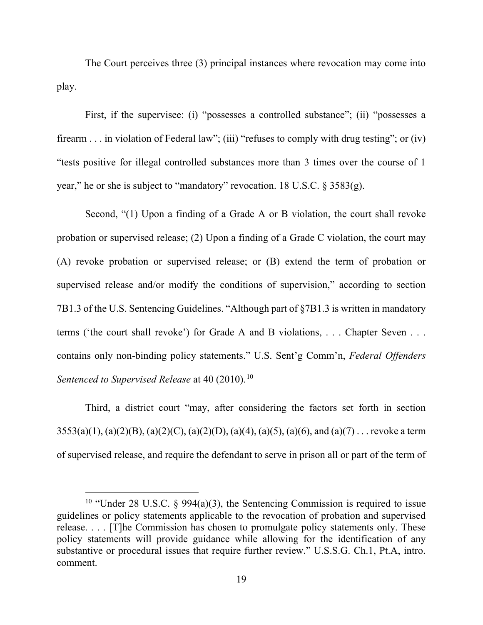The Court perceives three (3) principal instances where revocation may come into play.

First, if the supervisee: (i) "possesses a controlled substance"; (ii) "possesses a firearm . . . in violation of Federal law"; (iii) "refuses to comply with drug testing"; or (iv) "tests positive for illegal controlled substances more than 3 times over the course of 1 year," he or she is subject to "mandatory" revocation. 18 U.S.C. § 3583(g).

Second, "(1) Upon a finding of a Grade A or B violation, the court shall revoke probation or supervised release; (2) Upon a finding of a Grade C violation, the court may (A) revoke probation or supervised release; or (B) extend the term of probation or supervised release and/or modify the conditions of supervision," according to section 7B1.3 of the U.S. Sentencing Guidelines. "Although part of §7B1.3 is written in mandatory terms ('the court shall revoke') for Grade A and B violations, . . . Chapter Seven . . . contains only non-binding policy statements." U.S. Sent'g Comm'n, *Federal Offenders Sentenced to Supervised Release* at 40 (20[10](#page-20-0)).<sup>10</sup>

Third, a district court "may, after considering the factors set forth in section  $3553(a)(1)$ , (a)(2)(B), (a)(2)(C), (a)(2)(D), (a)(4), (a)(5), (a)(6), and (a)(7) . . . revoke a term of supervised release, and require the defendant to serve in prison all or part of the term of

<span id="page-20-0"></span><sup>&</sup>lt;sup>10</sup> "Under 28 U.S.C. § 994(a)(3), the Sentencing Commission is required to issue guidelines or policy statements applicable to the revocation of probation and supervised release. . . . [T]he Commission has chosen to promulgate policy statements only. These policy statements will provide guidance while allowing for the identification of any substantive or procedural issues that require further review." U.S.S.G. Ch.1, Pt.A, intro. comment.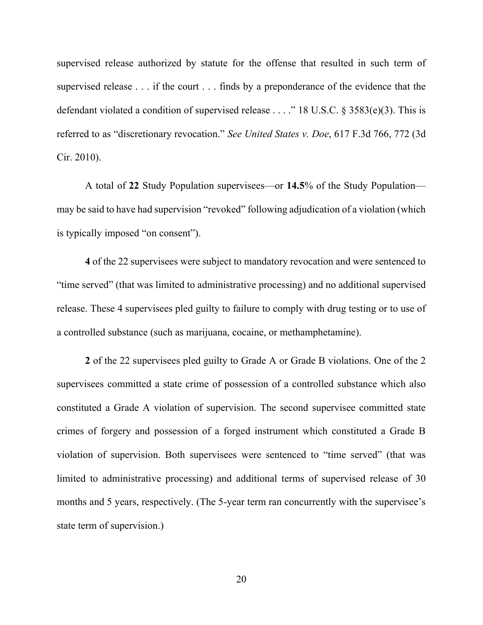supervised release authorized by statute for the offense that resulted in such term of supervised release . . . if the court . . . finds by a preponderance of the evidence that the defendant violated a condition of supervised release . . . ." 18 U.S.C. § 3583(e)(3). This is referred to as "discretionary revocation." *See United States v. Doe*, 617 F.3d 766, 772 (3d Cir. 2010).

A total of **22** Study Population supervisees—or **14.5**% of the Study Population may be said to have had supervision "revoked" following adjudication of a violation (which is typically imposed "on consent").

**4** of the 22 supervisees were subject to mandatory revocation and were sentenced to "time served" (that was limited to administrative processing) and no additional supervised release. These 4 supervisees pled guilty to failure to comply with drug testing or to use of a controlled substance (such as marijuana, cocaine, or methamphetamine).

**2** of the 22 supervisees pled guilty to Grade A or Grade B violations. One of the 2 supervisees committed a state crime of possession of a controlled substance which also constituted a Grade A violation of supervision. The second supervisee committed state crimes of forgery and possession of a forged instrument which constituted a Grade B violation of supervision. Both supervisees were sentenced to "time served" (that was limited to administrative processing) and additional terms of supervised release of 30 months and 5 years, respectively. (The 5-year term ran concurrently with the supervisee's state term of supervision.)

20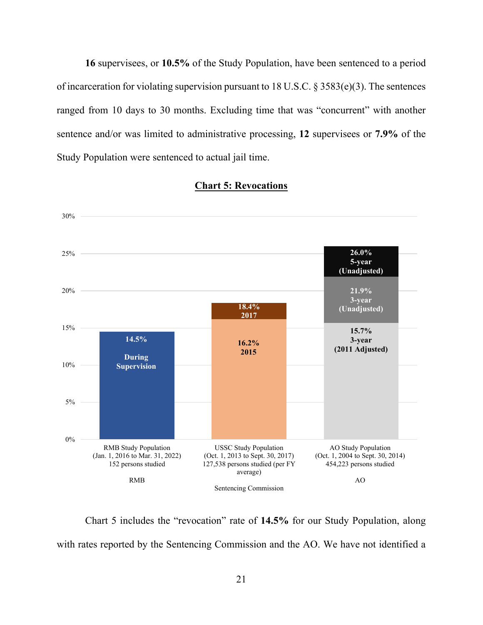**16** supervisees, or **10.5%** of the Study Population, have been sentenced to a period of incarceration for violating supervision pursuant to 18 U.S.C. § 3583(e)(3). The sentences ranged from 10 days to 30 months. Excluding time that was "concurrent" with another sentence and/or was limited to administrative processing, **12** supervisees or **7.9%** of the Study Population were sentenced to actual jail time.



#### **Chart 5: Revocations**

Chart 5 includes the "revocation" rate of **14.5%** for our Study Population, along with rates reported by the Sentencing Commission and the AO. We have not identified a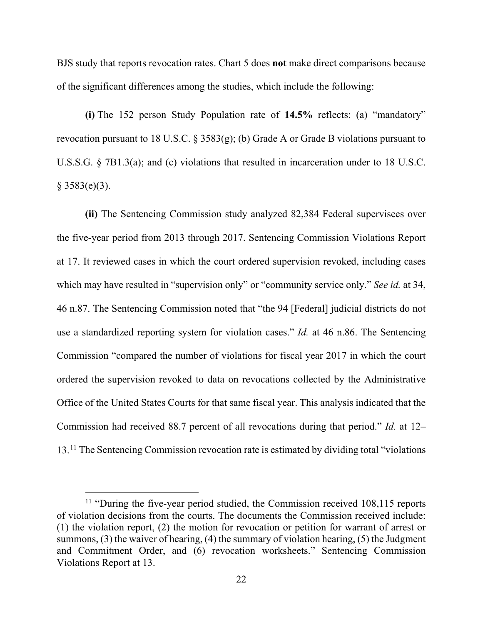BJS study that reports revocation rates. Chart 5 does **not** make direct comparisons because of the significant differences among the studies, which include the following:

**(i)** The 152 person Study Population rate of **14.5%** reflects: (a) "mandatory" revocation pursuant to 18 U.S.C.  $\S 3583(g)$ ; (b) Grade A or Grade B violations pursuant to U.S.S.G. § 7B1.3(a); and (c) violations that resulted in incarceration under to 18 U.S.C.  $§ 3583(e)(3).$ 

**(ii)** The Sentencing Commission study analyzed 82,384 Federal supervisees over the five-year period from 2013 through 2017. Sentencing Commission Violations Report at 17. It reviewed cases in which the court ordered supervision revoked, including cases which may have resulted in "supervision only" or "community service only." *See id.* at 34, 46 n.87. The Sentencing Commission noted that "the 94 [Federal] judicial districts do not use a standardized reporting system for violation cases." *Id.* at 46 n.86. The Sentencing Commission "compared the number of violations for fiscal year 2017 in which the court ordered the supervision revoked to data on revocations collected by the Administrative Office of the United States Courts for that same fiscal year. This analysis indicated that the Commission had received 88.7 percent of all revocations during that period." *Id.* at 12– 13.<sup>[11](#page-23-0)</sup> The Sentencing Commission revocation rate is estimated by dividing total "violations"

<span id="page-23-0"></span> $11$  "During the five-year period studied, the Commission received  $108,115$  reports of violation decisions from the courts. The documents the Commission received include: (1) the violation report, (2) the motion for revocation or petition for warrant of arrest or summons, (3) the waiver of hearing, (4) the summary of violation hearing, (5) the Judgment and Commitment Order, and (6) revocation worksheets." Sentencing Commission Violations Report at 13.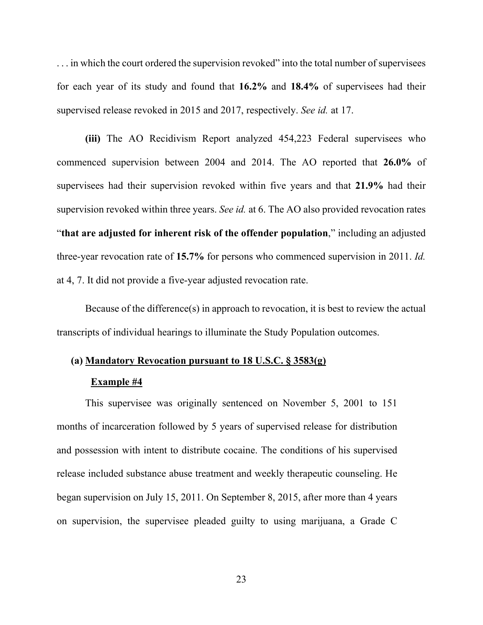... in which the court ordered the supervision revoked" into the total number of supervisees for each year of its study and found that **16.2%** and **18.4%** of supervisees had their supervised release revoked in 2015 and 2017, respectively. *See id.* at 17.

**(iii)** The AO Recidivism Report analyzed 454,223 Federal supervisees who commenced supervision between 2004 and 2014. The AO reported that **26.0%** of supervisees had their supervision revoked within five years and that **21.9%** had their supervision revoked within three years. *See id.* at 6. The AO also provided revocation rates "**that are adjusted for inherent risk of the offender population**," including an adjusted three-year revocation rate of **15.7%** for persons who commenced supervision in 2011. *Id.*  at 4, 7. It did not provide a five-year adjusted revocation rate.

Because of the difference(s) in approach to revocation, it is best to review the actual transcripts of individual hearings to illuminate the Study Population outcomes.

# **(a) Mandatory Revocation pursuant to 18 U.S.C. § 3583(g)**

#### **Example #4**

This supervisee was originally sentenced on November 5, 2001 to 151 months of incarceration followed by 5 years of supervised release for distribution and possession with intent to distribute cocaine. The conditions of his supervised release included substance abuse treatment and weekly therapeutic counseling. He began supervision on July 15, 2011. On September 8, 2015, after more than 4 years on supervision, the supervisee pleaded guilty to using marijuana, a Grade C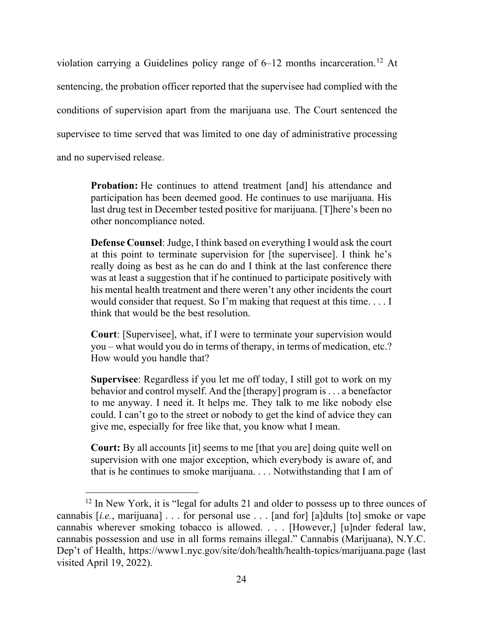violation carrying a Guidelines policy range of 6–[12](#page-25-0) months incarceration.<sup>12</sup> At sentencing, the probation officer reported that the supervisee had complied with the conditions of supervision apart from the marijuana use. The Court sentenced the supervisee to time served that was limited to one day of administrative processing and no supervised release.

**Probation:** He continues to attend treatment [and] his attendance and participation has been deemed good. He continues to use marijuana. His last drug test in December tested positive for marijuana. [T]here's been no other noncompliance noted.

**Defense Counsel**: Judge, I think based on everything I would ask the court at this point to terminate supervision for [the supervisee]. I think he's really doing as best as he can do and I think at the last conference there was at least a suggestion that if he continued to participate positively with his mental health treatment and there weren't any other incidents the court would consider that request. So I'm making that request at this time. . . . I think that would be the best resolution.

**Court**: [Supervisee], what, if I were to terminate your supervision would you – what would you do in terms of therapy, in terms of medication, etc.? How would you handle that?

**Supervisee**: Regardless if you let me off today, I still got to work on my behavior and control myself. And the [therapy] program is . . . a benefactor to me anyway. I need it. It helps me. They talk to me like nobody else could. I can't go to the street or nobody to get the kind of advice they can give me, especially for free like that, you know what I mean.

**Court:** By all accounts [it] seems to me [that you are] doing quite well on supervision with one major exception, which everybody is aware of, and that is he continues to smoke marijuana. . . . Notwithstanding that I am of

<span id="page-25-0"></span><sup>&</sup>lt;sup>12</sup> In New York, it is "legal for adults 21 and older to possess up to three ounces of cannabis [*i.e.*, marijuana] . . . for personal use . . . [and for] [a]dults [to] smoke or vape cannabis wherever smoking tobacco is allowed. . . . [However,] [u]nder federal law, cannabis possession and use in all forms remains illegal." Cannabis (Marijuana), N.Y.C. Dep't of Health, https://www1.nyc.gov/site/doh/health/health-topics/marijuana.page (last visited April 19, 2022).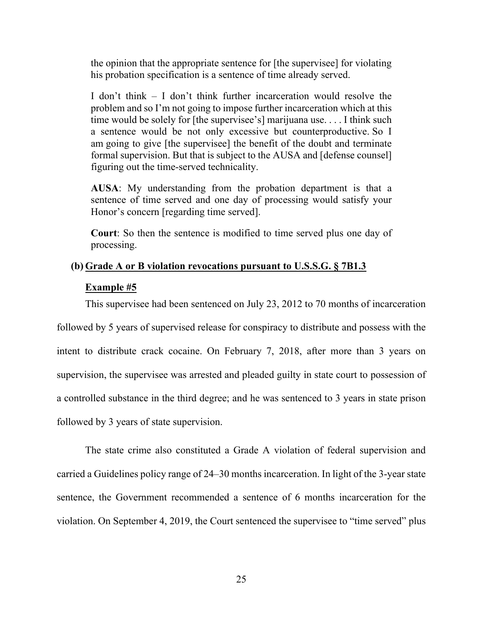the opinion that the appropriate sentence for [the supervisee] for violating his probation specification is a sentence of time already served.

I don't think – I don't think further incarceration would resolve the problem and so I'm not going to impose further incarceration which at this time would be solely for [the supervisee's] marijuana use. . . . I think such a sentence would be not only excessive but counterproductive. So I am going to give [the supervisee] the benefit of the doubt and terminate formal supervision. But that is subject to the AUSA and [defense counsel] figuring out the time-served technicality.

**AUSA**: My understanding from the probation department is that a sentence of time served and one day of processing would satisfy your Honor's concern [regarding time served].

**Court**: So then the sentence is modified to time served plus one day of processing.

# **(b) Grade A or B violation revocations pursuant to U.S.S.G. § 7B1.3**

# **Example #5**

This supervisee had been sentenced on July 23, 2012 to 70 months of incarceration

followed by 5 years of supervised release for conspiracy to distribute and possess with the intent to distribute crack cocaine. On February 7, 2018, after more than 3 years on supervision, the supervisee was arrested and pleaded guilty in state court to possession of a controlled substance in the third degree; and he was sentenced to 3 years in state prison followed by 3 years of state supervision.

The state crime also constituted a Grade A violation of federal supervision and carried a Guidelines policy range of 24–30 months incarceration. In light of the 3-year state sentence, the Government recommended a sentence of 6 months incarceration for the violation. On September 4, 2019, the Court sentenced the supervisee to "time served" plus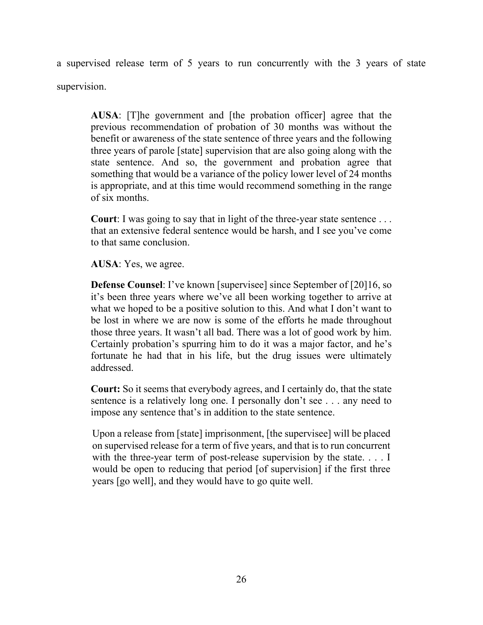a supervised release term of 5 years to run concurrently with the 3 years of state supervision.

**AUSA**: [T]he government and [the probation officer] agree that the previous recommendation of probation of 30 months was without the benefit or awareness of the state sentence of three years and the following three years of parole [state] supervision that are also going along with the state sentence. And so, the government and probation agree that something that would be a variance of the policy lower level of 24 months is appropriate, and at this time would recommend something in the range of six months.

**Court**: I was going to say that in light of the three-year state sentence . . . that an extensive federal sentence would be harsh, and I see you've come to that same conclusion.

**AUSA**: Yes, we agree.

**Defense Counsel**: I've known [supervisee] since September of [20]16, so it's been three years where we've all been working together to arrive at what we hoped to be a positive solution to this. And what I don't want to be lost in where we are now is some of the efforts he made throughout those three years. It wasn't all bad. There was a lot of good work by him. Certainly probation's spurring him to do it was a major factor, and he's fortunate he had that in his life, but the drug issues were ultimately addressed.

**Court:** So it seems that everybody agrees, and I certainly do, that the state sentence is a relatively long one. I personally don't see . . . any need to impose any sentence that's in addition to the state sentence.

Upon a release from [state] imprisonment, [the supervisee] will be placed on supervised release for a term of five years, and that is to run concurrent with the three-year term of post-release supervision by the state. . . . I would be open to reducing that period [of supervision] if the first three years [go well], and they would have to go quite well.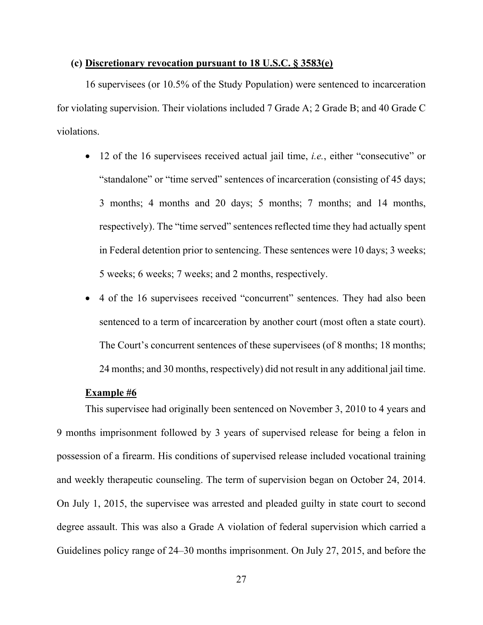#### **(c) Discretionary revocation pursuant to 18 U.S.C. § 3583(e)**

16 supervisees (or 10.5% of the Study Population) were sentenced to incarceration for violating supervision. Their violations included 7 Grade A; 2 Grade B; and 40 Grade C violations.

- 12 of the 16 supervisees received actual jail time, *i.e.*, either "consecutive" or "standalone" or "time served" sentences of incarceration (consisting of 45 days; 3 months; 4 months and 20 days; 5 months; 7 months; and 14 months, respectively). The "time served" sentences reflected time they had actually spent in Federal detention prior to sentencing. These sentences were 10 days; 3 weeks; 5 weeks; 6 weeks; 7 weeks; and 2 months, respectively.
- 4 of the 16 supervisees received "concurrent" sentences. They had also been sentenced to a term of incarceration by another court (most often a state court). The Court's concurrent sentences of these supervisees (of 8 months; 18 months; 24 months; and 30 months, respectively) did not result in any additional jail time.

#### **Example #6**

This supervisee had originally been sentenced on November 3, 2010 to 4 years and 9 months imprisonment followed by 3 years of supervised release for being a felon in possession of a firearm. His conditions of supervised release included vocational training and weekly therapeutic counseling. The term of supervision began on October 24, 2014. On July 1, 2015, the supervisee was arrested and pleaded guilty in state court to second degree assault. This was also a Grade A violation of federal supervision which carried a Guidelines policy range of 24–30 months imprisonment. On July 27, 2015, and before the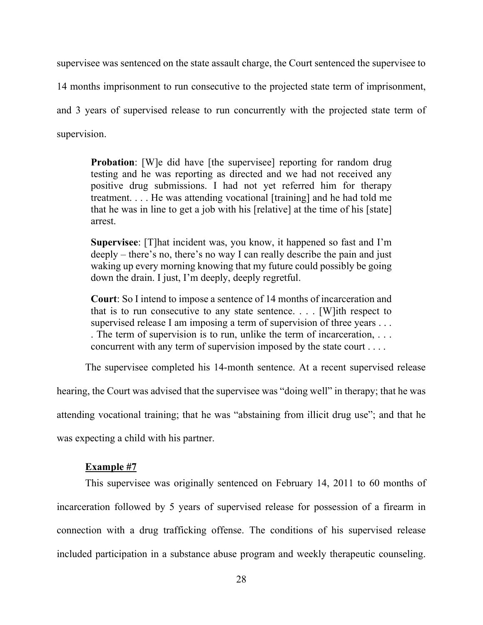supervisee was sentenced on the state assault charge, the Court sentenced the supervisee to

14 months imprisonment to run consecutive to the projected state term of imprisonment,

and 3 years of supervised release to run concurrently with the projected state term of supervision.

**Probation**: [W]e did have [the supervisee] reporting for random drug testing and he was reporting as directed and we had not received any positive drug submissions. I had not yet referred him for therapy treatment. . . . He was attending vocational [training] and he had told me that he was in line to get a job with his [relative] at the time of his [state] arrest.

**Supervisee**: [T]hat incident was, you know, it happened so fast and I'm deeply – there's no, there's no way I can really describe the pain and just waking up every morning knowing that my future could possibly be going down the drain. I just, I'm deeply, deeply regretful.

**Court**: So I intend to impose a sentence of 14 months of incarceration and that is to run consecutive to any state sentence.  $\ldots$  [W]ith respect to supervised release I am imposing a term of supervision of three years ... . The term of supervision is to run, unlike the term of incarceration, . . . concurrent with any term of supervision imposed by the state court . . . .

The supervisee completed his 14-month sentence. At a recent supervised release

hearing, the Court was advised that the supervisee was "doing well" in therapy; that he was

attending vocational training; that he was "abstaining from illicit drug use"; and that he

was expecting a child with his partner.

#### **Example #7**

This supervisee was originally sentenced on February 14, 2011 to 60 months of incarceration followed by 5 years of supervised release for possession of a firearm in connection with a drug trafficking offense. The conditions of his supervised release included participation in a substance abuse program and weekly therapeutic counseling.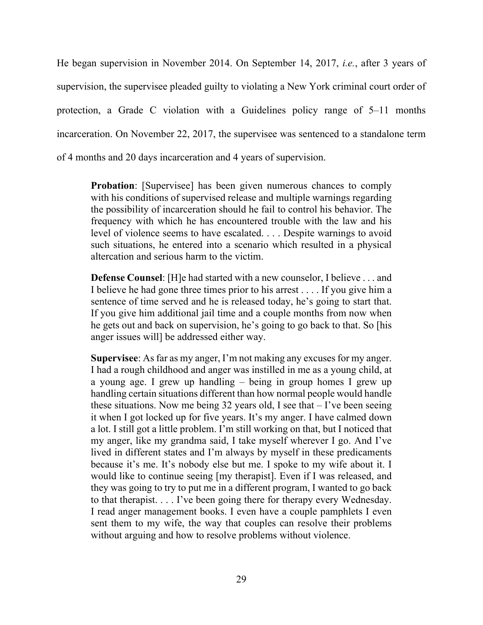He began supervision in November 2014. On September 14, 2017, *i.e.*, after 3 years of supervision, the supervisee pleaded guilty to violating a New York criminal court order of protection, a Grade C violation with a Guidelines policy range of 5–11 months incarceration. On November 22, 2017, the supervisee was sentenced to a standalone term of 4 months and 20 days incarceration and 4 years of supervision.

**Probation:** [Supervisee] has been given numerous chances to comply with his conditions of supervised release and multiple warnings regarding the possibility of incarceration should he fail to control his behavior. The frequency with which he has encountered trouble with the law and his level of violence seems to have escalated. . . . Despite warnings to avoid such situations, he entered into a scenario which resulted in a physical altercation and serious harm to the victim.

**Defense Counsel**: [H]e had started with a new counselor, I believe . . . and I believe he had gone three times prior to his arrest . . . . If you give him a sentence of time served and he is released today, he's going to start that. If you give him additional jail time and a couple months from now when he gets out and back on supervision, he's going to go back to that. So [his anger issues will] be addressed either way.

**Supervisee**: As far as my anger, I'm not making any excuses for my anger. I had a rough childhood and anger was instilled in me as a young child, at a young age. I grew up handling – being in group homes I grew up handling certain situations different than how normal people would handle these situations. Now me being 32 years old, I see that  $-1$ 've been seeing it when I got locked up for five years. It's my anger. I have calmed down a lot. I still got a little problem. I'm still working on that, but I noticed that my anger, like my grandma said, I take myself wherever I go. And I've lived in different states and I'm always by myself in these predicaments because it's me. It's nobody else but me. I spoke to my wife about it. I would like to continue seeing [my therapist]. Even if I was released, and they was going to try to put me in a different program, I wanted to go back to that therapist. . . . I've been going there for therapy every Wednesday. I read anger management books. I even have a couple pamphlets I even sent them to my wife, the way that couples can resolve their problems without arguing and how to resolve problems without violence.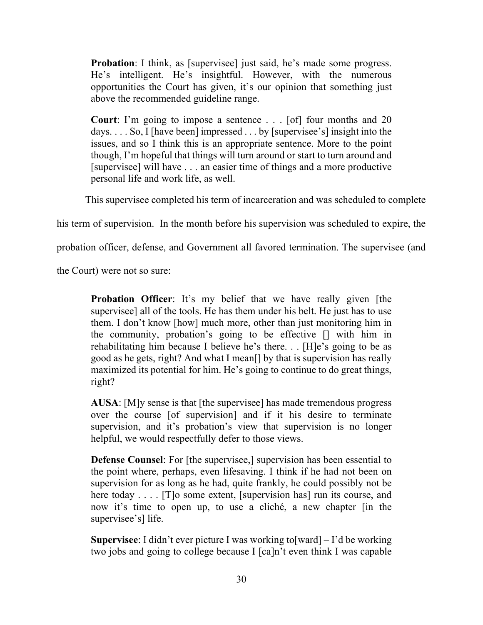**Probation**: I think, as [supervisee] just said, he's made some progress. He's intelligent. He's insightful. However, with the numerous opportunities the Court has given, it's our opinion that something just above the recommended guideline range.

**Court**: I'm going to impose a sentence . . . [of] four months and 20 days. . . . So, I [have been] impressed . . . by [supervisee's] insight into the issues, and so I think this is an appropriate sentence. More to the point though, I'm hopeful that things will turn around or start to turn around and [supervisee] will have . . . an easier time of things and a more productive personal life and work life, as well.

This supervisee completed his term of incarceration and was scheduled to complete

his term of supervision. In the month before his supervision was scheduled to expire, the

probation officer, defense, and Government all favored termination. The supervisee (and

the Court) were not so sure:

**Probation Officer:** It's my belief that we have really given [the supervisee] all of the tools. He has them under his belt. He just has to use them. I don't know [how] much more, other than just monitoring him in the community, probation's going to be effective [] with him in rehabilitating him because I believe he's there. . . [H]e's going to be as good as he gets, right? And what I mean[] by that is supervision has really maximized its potential for him. He's going to continue to do great things, right?

**AUSA**: [M]y sense is that [the supervisee] has made tremendous progress over the course [of supervision] and if it his desire to terminate supervision, and it's probation's view that supervision is no longer helpful, we would respectfully defer to those views.

**Defense Counsel:** For [the supervisee,] supervision has been essential to the point where, perhaps, even lifesaving. I think if he had not been on supervision for as long as he had, quite frankly, he could possibly not be here today . . . . [T]o some extent, [supervision has] run its course, and now it's time to open up, to use a cliché, a new chapter [in the supervisee's] life.

**Supervisee**: I didn't ever picture I was working to[ward] – I'd be working two jobs and going to college because I [ca]n't even think I was capable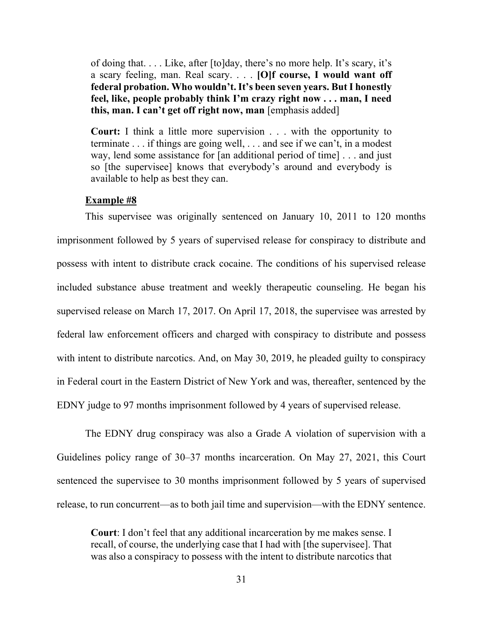of doing that. . . . Like, after [to]day, there's no more help. It's scary, it's a scary feeling, man. Real scary. . . . **[O]f course, I would want off federal probation. Who wouldn't. It's been seven years. But I honestly feel, like, people probably think I'm crazy right now . . . man, I need this, man. I can't get off right now, man** [emphasis added]

**Court:** I think a little more supervision . . . with the opportunity to terminate . . . if things are going well, . . . and see if we can't, in a modest way, lend some assistance for [an additional period of time] . . . and just so [the supervisee] knows that everybody's around and everybody is available to help as best they can.

#### **Example #8**

This supervisee was originally sentenced on January 10, 2011 to 120 months imprisonment followed by 5 years of supervised release for conspiracy to distribute and possess with intent to distribute crack cocaine. The conditions of his supervised release included substance abuse treatment and weekly therapeutic counseling. He began his supervised release on March 17, 2017. On April 17, 2018, the supervisee was arrested by federal law enforcement officers and charged with conspiracy to distribute and possess with intent to distribute narcotics. And, on May 30, 2019, he pleaded guilty to conspiracy in Federal court in the Eastern District of New York and was, thereafter, sentenced by the EDNY judge to 97 months imprisonment followed by 4 years of supervised release.

The EDNY drug conspiracy was also a Grade A violation of supervision with a Guidelines policy range of 30–37 months incarceration. On May 27, 2021, this Court sentenced the supervisee to 30 months imprisonment followed by 5 years of supervised release, to run concurrent—as to both jail time and supervision—with the EDNY sentence.

**Court**: I don't feel that any additional incarceration by me makes sense. I recall, of course, the underlying case that I had with [the supervisee]. That was also a conspiracy to possess with the intent to distribute narcotics that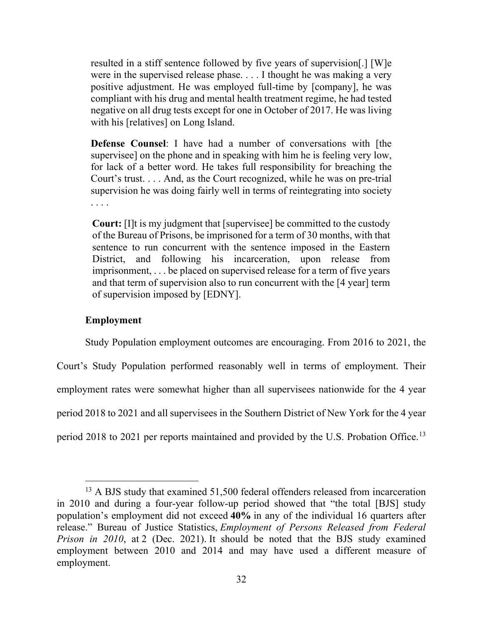resulted in a stiff sentence followed by five years of supervision[.] [W]e were in the supervised release phase. . . . I thought he was making a very positive adjustment. He was employed full-time by [company], he was compliant with his drug and mental health treatment regime, he had tested negative on all drug tests except for one in October of 2017. He was living with his [relatives] on Long Island.

**Defense Counsel**: I have had a number of conversations with [the supervisee] on the phone and in speaking with him he is feeling very low, for lack of a better word. He takes full responsibility for breaching the Court's trust. . . . And, as the Court recognized, while he was on pre-trial supervision he was doing fairly well in terms of reintegrating into society . . . .

**Court:** [I]t is my judgment that [supervisee] be committed to the custody of the Bureau of Prisons, be imprisoned for a term of 30 months, with that sentence to run concurrent with the sentence imposed in the Eastern District, and following his incarceration, upon release from imprisonment, . . . be placed on supervised release for a term of five years and that term of supervision also to run concurrent with the [4 year] term of supervision imposed by [EDNY].

#### **Employment**

<span id="page-33-0"></span>Study Population employment outcomes are encouraging. From 2016 to 2021, the Court's Study Population performed reasonably well in terms of employment. Their employment rates were somewhat higher than all supervisees nationwide for the 4 year period 2018 to 2021 and all supervisees in the Southern District of New York for the 4 year period 2018 to 2021 per reports maintained and provided by the U.S. Probation Office.<sup>[13](#page-33-1)</sup>

<span id="page-33-1"></span><sup>&</sup>lt;sup>13</sup> A BJS study that examined 51,500 federal offenders released from incarceration in 2010 and during a four-year follow-up period showed that "the total [BJS] study population's employment did not exceed **40%** in any of the individual 16 quarters after release." Bureau of Justice Statistics, *Employment of Persons Released from Federal Prison in 2010*, at 2 (Dec. 2021). It should be noted that the BJS study examined employment between 2010 and 2014 and may have used a different measure of employment.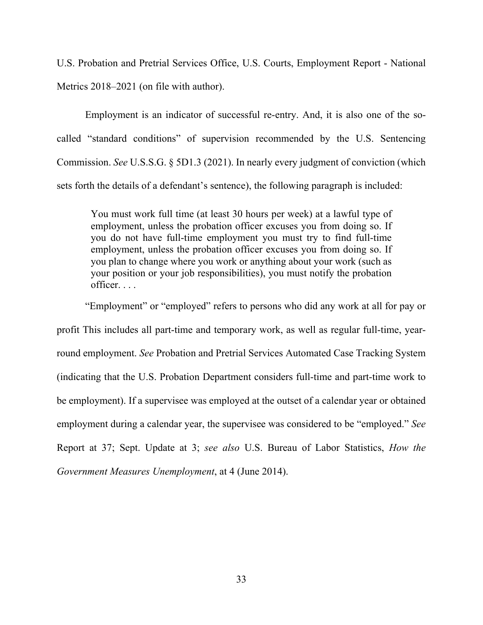U.S. Probation and Pretrial Services Office, U.S. Courts, Employment Report - National Metrics 2018–2021 (on file with author).

Employment is an indicator of successful re-entry. And, it is also one of the socalled "standard conditions" of supervision recommended by the U.S. Sentencing Commission. *See* U.S.S.G. § 5D1.3 (2021). In nearly every judgment of conviction (which sets forth the details of a defendant's sentence), the following paragraph is included:

You must work full time (at least 30 hours per week) at a lawful type of employment, unless the probation officer excuses you from doing so. If you do not have full-time employment you must try to find full-time employment, unless the probation officer excuses you from doing so. If you plan to change where you work or anything about your work (such as your position or your job responsibilities), you must notify the probation officer. . . .

"Employment" or "employed" refers to persons who did any work at all for pay or profit This includes all part-time and temporary work, as well as regular full-time, yearround employment. *See* Probation and Pretrial Services Automated Case Tracking System (indicating that the U.S. Probation Department considers full-time and part-time work to be employment). If a supervisee was employed at the outset of a calendar year or obtained employment during a calendar year, the supervisee was considered to be "employed." *See*  Report at 37; Sept. Update at 3; *see also* U.S. Bureau of Labor Statistics, *How the Government Measures Unemployment*, at 4 (June 2014).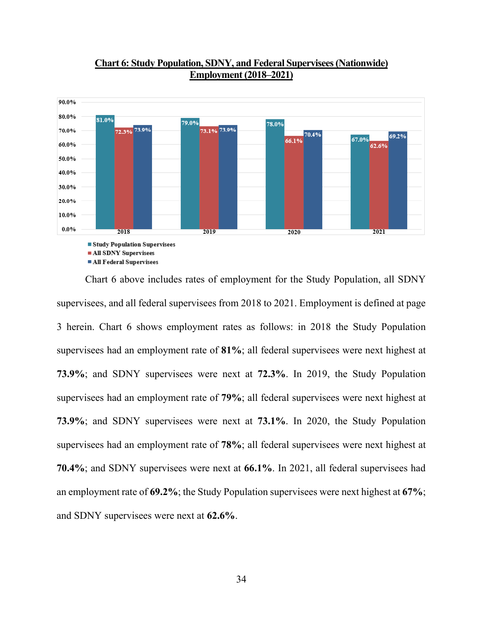

# **Chart 6: Study Population, SDNY, and Federal Supervisees (Nationwide) Employment (2018–2021)**

Chart 6 above includes rates of employment for the Study Population, all SDNY supervisees, and all federal supervisees from 2018 to 2021. Employment is defined at page 3 herein. Chart 6 shows employment rates as follows: in 2018 the Study Population supervisees had an employment rate of **81%**; all federal supervisees were next highest at **73.9%**; and SDNY supervisees were next at **72.3%**. In 2019, the Study Population supervisees had an employment rate of **79%**; all federal supervisees were next highest at **73.9%**; and SDNY supervisees were next at **73.1%**. In 2020, the Study Population supervisees had an employment rate of **78%**; all federal supervisees were next highest at **70.4%**; and SDNY supervisees were next at **66.1%**. In 2021, all federal supervisees had an employment rate of **69.2%**; the Study Population supervisees were next highest at **67%**; and SDNY supervisees were next at **62.6%**.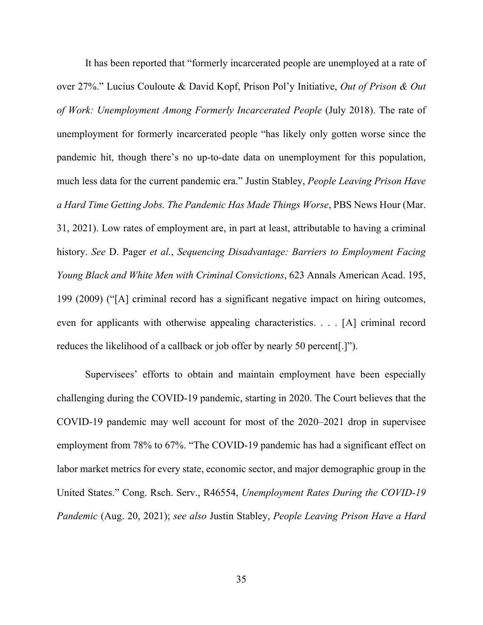It has been reported that "formerly incarcerated people are unemployed at a rate of over 27%." Lucius Couloute & David Kopf, Prison Pol'y Initiative, *Out of Prison & Out of Work: Unemployment Among Formerly Incarcerated People* (July 2018). The rate of unemployment for formerly incarcerated people "has likely only gotten worse since the pandemic hit, though there's no up-to-date data on unemployment for this population, much less data for the current pandemic era." Justin Stabley, *People Leaving Prison Have a Hard Time Getting Jobs. The Pandemic Has Made Things Worse*, PBS News Hour (Mar. 31, 2021). Low rates of employment are, in part at least, attributable to having a criminal history. *See* D. Pager *et al.*, *Sequencing Disadvantage: Barriers to Employment Facing Young Black and White Men with Criminal Convictions*, 623 Annals American Acad. 195, 199 (2009) ("[A] criminal record has a significant negative impact on hiring outcomes, even for applicants with otherwise appealing characteristics. . . . [A] criminal record reduces the likelihood of a callback or job offer by nearly 50 percent[.]").

Supervisees' efforts to obtain and maintain employment have been especially challenging during the COVID-19 pandemic, starting in 2020. The Court believes that the COVID-19 pandemic may well account for most of the 2020–2021 drop in supervisee employment from 78% to 67%. "The COVID-19 pandemic has had a significant effect on labor market metrics for every state, economic sector, and major demographic group in the United States." Cong. Rsch. Serv., R46554, *Unemployment Rates During the COVID-19 Pandemic* (Aug. 20, 2021); *see also* Justin Stabley, *People Leaving Prison Have a Hard*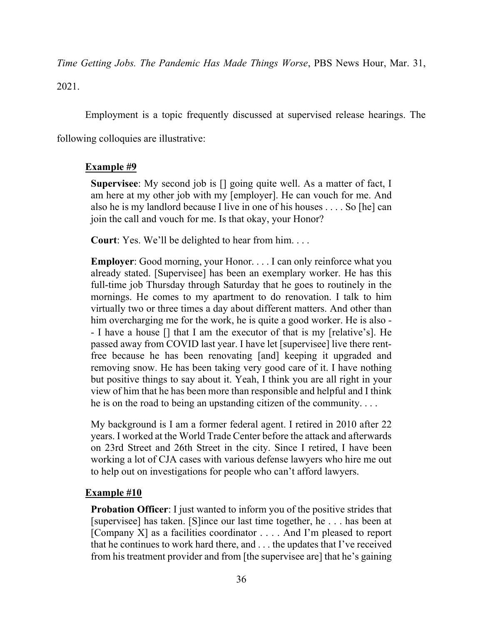*Time Getting Jobs. The Pandemic Has Made Things Worse*, PBS News Hour, Mar. 31, 2021.

Employment is a topic frequently discussed at supervised release hearings. The

following colloquies are illustrative:

# **Example #9**

**Supervisee**: My second job is [] going quite well. As a matter of fact, I am here at my other job with my [employer]. He can vouch for me. And also he is my landlord because I live in one of his houses . . . . So [he] can join the call and vouch for me. Is that okay, your Honor?

**Court**: Yes. We'll be delighted to hear from him. . . .

**Employer:** Good morning, your Honor. . . . I can only reinforce what you already stated. [Supervisee] has been an exemplary worker. He has this full-time job Thursday through Saturday that he goes to routinely in the mornings. He comes to my apartment to do renovation. I talk to him virtually two or three times a day about different matters. And other than him overcharging me for the work, he is quite a good worker. He is also - - I have a house [] that I am the executor of that is my [relative's]. He passed away from COVID last year. I have let [supervisee] live there rentfree because he has been renovating [and] keeping it upgraded and removing snow. He has been taking very good care of it. I have nothing but positive things to say about it. Yeah, I think you are all right in your view of him that he has been more than responsible and helpful and I think he is on the road to being an upstanding citizen of the community. . . .

My background is I am a former federal agent. I retired in 2010 after 22 years. I worked at the World Trade Center before the attack and afterwards on 23rd Street and 26th Street in the city. Since I retired, I have been working a lot of CJA cases with various defense lawyers who hire me out to help out on investigations for people who can't afford lawyers.

# **Example #10**

**Probation Officer:** I just wanted to inform you of the positive strides that [supervisee] has taken. [S]ince our last time together, he . . . has been at [Company X] as a facilities coordinator . . . . And I'm pleased to report that he continues to work hard there, and . . . the updates that I've received from his treatment provider and from [the supervisee are] that he's gaining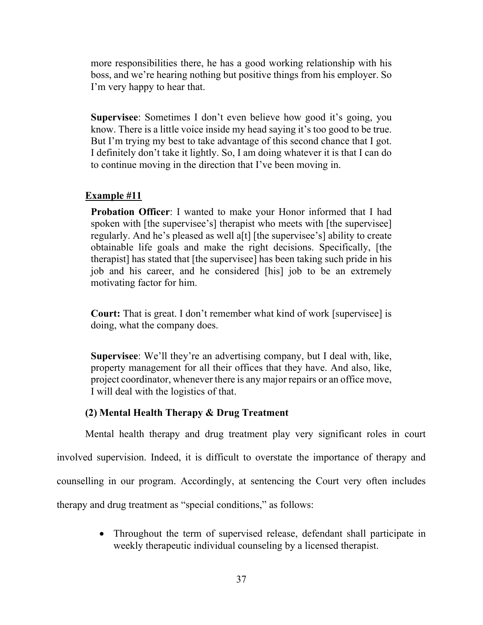more responsibilities there, he has a good working relationship with his boss, and we're hearing nothing but positive things from his employer. So I'm very happy to hear that.

**Supervisee**: Sometimes I don't even believe how good it's going, you know. There is a little voice inside my head saying it's too good to be true. But I'm trying my best to take advantage of this second chance that I got. I definitely don't take it lightly. So, I am doing whatever it is that I can do to continue moving in the direction that I've been moving in.

# **Example #11**

**Probation Officer:** I wanted to make your Honor informed that I had spoken with [the supervisee's] therapist who meets with [the supervisee] regularly. And he's pleased as well a[t] [the supervisee's] ability to create obtainable life goals and make the right decisions. Specifically, [the therapist] has stated that [the supervisee] has been taking such pride in his job and his career, and he considered [his] job to be an extremely motivating factor for him.

**Court:** That is great. I don't remember what kind of work [supervisee] is doing, what the company does.

**Supervisee**: We'll they're an advertising company, but I deal with, like, property management for all their offices that they have. And also, like, project coordinator, whenever there is any major repairs or an office move, I will deal with the logistics of that.

# **(2) Mental Health Therapy & Drug Treatment**

<span id="page-38-0"></span>Mental health therapy and drug treatment play very significant roles in court involved supervision. Indeed, it is difficult to overstate the importance of therapy and counselling in our program. Accordingly, at sentencing the Court very often includes therapy and drug treatment as "special conditions," as follows:

> • Throughout the term of supervised release, defendant shall participate in weekly therapeutic individual counseling by a licensed therapist.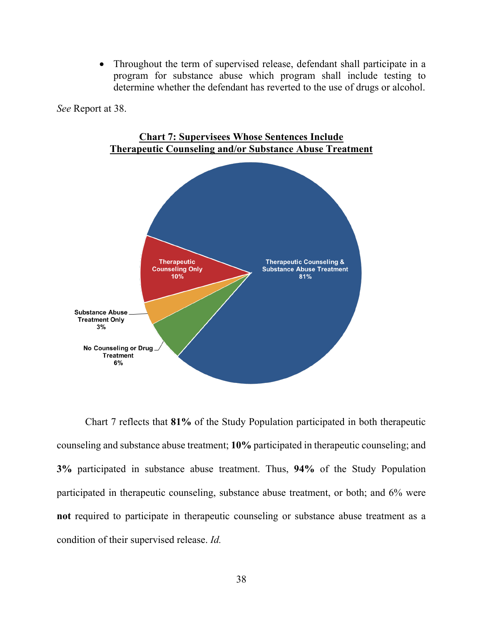• Throughout the term of supervised release, defendant shall participate in a program for substance abuse which program shall include testing to determine whether the defendant has reverted to the use of drugs or alcohol.

*See* Report at 38.



**Chart 7: Supervisees Whose Sentences Include Therapeutic Counseling and/or Substance Abuse Treatment**

Chart 7 reflects that **81%** of the Study Population participated in both therapeutic counseling and substance abuse treatment; **10%** participated in therapeutic counseling; and **3%** participated in substance abuse treatment. Thus, **94%** of the Study Population participated in therapeutic counseling, substance abuse treatment, or both; and 6% were **not** required to participate in therapeutic counseling or substance abuse treatment as a condition of their supervised release. *Id.*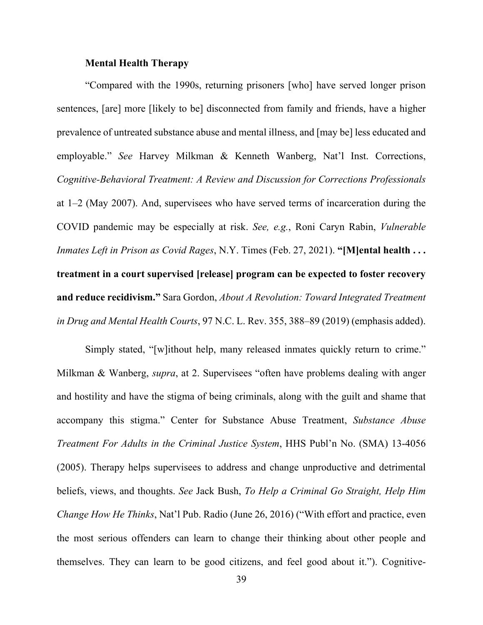#### **Mental Health Therapy**

<span id="page-40-0"></span>"Compared with the 1990s, returning prisoners [who] have served longer prison sentences, [are] more [likely to be] disconnected from family and friends, have a higher prevalence of untreated substance abuse and mental illness, and [may be] less educated and employable." *See* Harvey Milkman & Kenneth Wanberg, Nat'l Inst. Corrections, *Cognitive-Behavioral Treatment: A Review and Discussion for Corrections Professionals* at 1–2 (May 2007). And, supervisees who have served terms of incarceration during the COVID pandemic may be especially at risk. *See, e.g.*, Roni Caryn Rabin, *Vulnerable Inmates Left in Prison as Covid Rages*, N.Y. Times (Feb. 27, 2021). **"[M]ental health . . . treatment in a court supervised [release] program can be expected to foster recovery and reduce recidivism."** Sara Gordon, *About A Revolution: Toward Integrated Treatment in Drug and Mental Health Courts*, 97 N.C. L. Rev. 355, 388–89 (2019) (emphasis added).

Simply stated, "[w]ithout help, many released inmates quickly return to crime." Milkman & Wanberg, *supra*, at 2. Supervisees "often have problems dealing with anger and hostility and have the stigma of being criminals, along with the guilt and shame that accompany this stigma." Center for Substance Abuse Treatment, *Substance Abuse Treatment For Adults in the Criminal Justice System*, HHS Publ'n No. (SMA) 13-4056 (2005). Therapy helps supervisees to address and change unproductive and detrimental beliefs, views, and thoughts. *See* Jack Bush, *To Help a Criminal Go Straight, Help Him Change How He Thinks*, Nat'l Pub. Radio (June 26, 2016) ("With effort and practice, even the most serious offenders can learn to change their thinking about other people and themselves. They can learn to be good citizens, and feel good about it."). Cognitive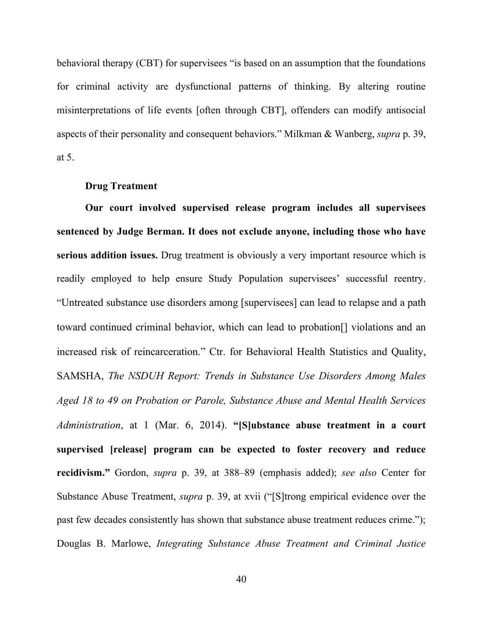behavioral therapy (CBT) for supervisees "is based on an assumption that the foundations for criminal activity are dysfunctional patterns of thinking. By altering routine misinterpretations of life events [often through CBT], offenders can modify antisocial aspects of their personality and consequent behaviors." Milkman & Wanberg, *supra* p. 39, at 5.

#### **Drug Treatment**

<span id="page-41-0"></span>**Our court involved supervised release program includes all supervisees sentenced by Judge Berman. It does not exclude anyone, including those who have serious addition issues.** Drug treatment is obviously a very important resource which is readily employed to help ensure Study Population supervisees' successful reentry. "Untreated substance use disorders among [supervisees] can lead to relapse and a path toward continued criminal behavior, which can lead to probation[] violations and an increased risk of reincarceration." Ctr. for Behavioral Health Statistics and Quality, SAMSHA, *The NSDUH Report: Trends in Substance Use Disorders Among Males Aged 18 to 49 on Probation or Parole, Substance Abuse and Mental Health Services Administration*, at 1 (Mar. 6, 2014). **"[S]ubstance abuse treatment in a court supervised [release] program can be expected to foster recovery and reduce recidivism."** Gordon, *supra* p. 39, at 388–89 (emphasis added); *see also* Center for Substance Abuse Treatment, *supra* p. 39, at xvii ("[S]trong empirical evidence over the past few decades consistently has shown that substance abuse treatment reduces crime."); Douglas B. Marlowe, *Integrating Substance Abuse Treatment and Criminal Justice*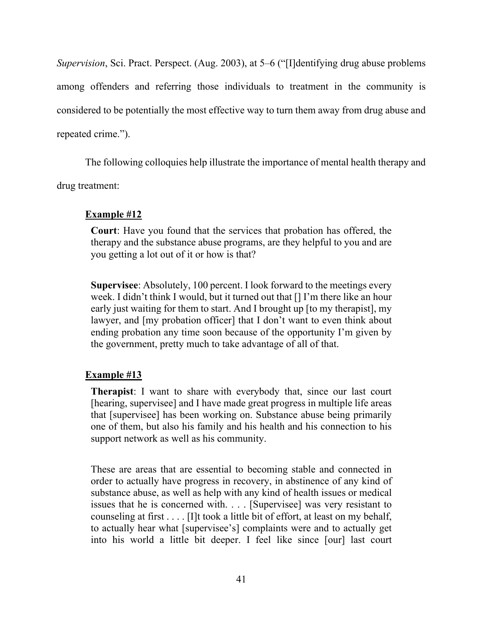*Supervision*, Sci. Pract. Perspect. (Aug. 2003), at 5–6 ("[I]dentifying drug abuse problems among offenders and referring those individuals to treatment in the community is considered to be potentially the most effective way to turn them away from drug abuse and repeated crime.").

The following colloquies help illustrate the importance of mental health therapy and

drug treatment:

# **Example #12**

**Court**: Have you found that the services that probation has offered, the therapy and the substance abuse programs, are they helpful to you and are you getting a lot out of it or how is that?

**Supervisee**: Absolutely, 100 percent. I look forward to the meetings every week. I didn't think I would, but it turned out that [] I'm there like an hour early just waiting for them to start. And I brought up [to my therapist], my lawyer, and [my probation officer] that I don't want to even think about ending probation any time soon because of the opportunity I'm given by the government, pretty much to take advantage of all of that.

# **Example #13**

**Therapist**: I want to share with everybody that, since our last court [hearing, supervisee] and I have made great progress in multiple life areas that [supervisee] has been working on. Substance abuse being primarily one of them, but also his family and his health and his connection to his support network as well as his community.

These are areas that are essential to becoming stable and connected in order to actually have progress in recovery, in abstinence of any kind of substance abuse, as well as help with any kind of health issues or medical issues that he is concerned with. . . . [Supervisee] was very resistant to counseling at first . . . . [I]t took a little bit of effort, at least on my behalf, to actually hear what [supervisee's] complaints were and to actually get into his world a little bit deeper. I feel like since [our] last court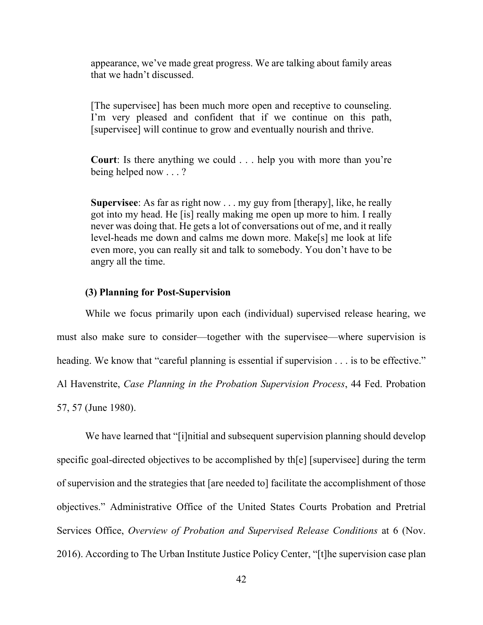appearance, we've made great progress. We are talking about family areas that we hadn't discussed.

[The supervisee] has been much more open and receptive to counseling. I'm very pleased and confident that if we continue on this path, [supervisee] will continue to grow and eventually nourish and thrive.

**Court**: Is there anything we could . . . help you with more than you're being helped now . . . ?

**Supervisee**: As far as right now . . . my guy from [therapy], like, he really got into my head. He [is] really making me open up more to him. I really never was doing that. He gets a lot of conversations out of me, and it really level-heads me down and calms me down more. Make[s] me look at life even more, you can really sit and talk to somebody. You don't have to be angry all the time.

#### **(3) Planning for Post-Supervision**

<span id="page-43-0"></span>While we focus primarily upon each (individual) supervised release hearing, we must also make sure to consider—together with the supervisee—where supervision is heading. We know that "careful planning is essential if supervision . . . is to be effective." Al Havenstrite, *Case Planning in the Probation Supervision Process*, 44 Fed. Probation 57, 57 (June 1980).

We have learned that "[i]nitial and subsequent supervision planning should develop specific goal-directed objectives to be accomplished by th[e] [supervisee] during the term of supervision and the strategies that [are needed to] facilitate the accomplishment of those objectives." Administrative Office of the United States Courts Probation and Pretrial Services Office, *Overview of Probation and Supervised Release Conditions* at 6 (Nov. 2016). According to The Urban Institute Justice Policy Center, "[t]he supervision case plan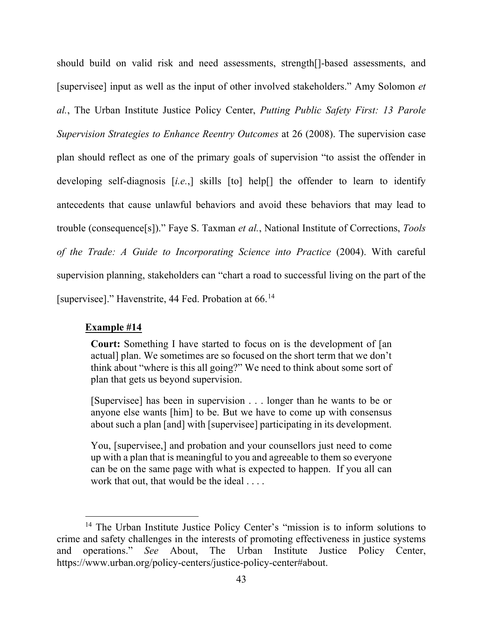should build on valid risk and need assessments, strength[]-based assessments, and [supervisee] input as well as the input of other involved stakeholders." Amy Solomon *et al.*, The Urban Institute Justice Policy Center, *Putting Public Safety First: 13 Parole Supervision Strategies to Enhance Reentry Outcomes* at 26 (2008). The supervision case plan should reflect as one of the primary goals of supervision "to assist the offender in developing self-diagnosis [*i.e.*,] skills [to] help[] the offender to learn to identify antecedents that cause unlawful behaviors and avoid these behaviors that may lead to trouble (consequence[s])." Faye S. Taxman *et al.*, National Institute of Corrections, *Tools of the Trade: A Guide to Incorporating Science into Practice* (2004). With careful supervision planning, stakeholders can "chart a road to successful living on the part of the [supervisee]." Havenstrite, 44 Fed. Probation at 66.<sup>[14](#page-44-0)</sup>

#### **Example #14**

**Court:** Something I have started to focus on is the development of [an actual] plan. We sometimes are so focused on the short term that we don't think about "where is this all going?" We need to think about some sort of plan that gets us beyond supervision.

[Supervisee] has been in supervision . . . longer than he wants to be or anyone else wants [him] to be. But we have to come up with consensus about such a plan [and] with [supervisee] participating in its development.

You, [supervisee,] and probation and your counsellors just need to come up with a plan that is meaningful to you and agreeable to them so everyone can be on the same page with what is expected to happen. If you all can work that out, that would be the ideal . . . .

<span id="page-44-0"></span><sup>&</sup>lt;sup>14</sup> The Urban Institute Justice Policy Center's "mission is to inform solutions to crime and safety challenges in the interests of promoting effectiveness in justice systems and operations." *See* About, The Urban Institute Justice Policy Center, https://www.urban.org/policy-centers/justice-policy-center#about.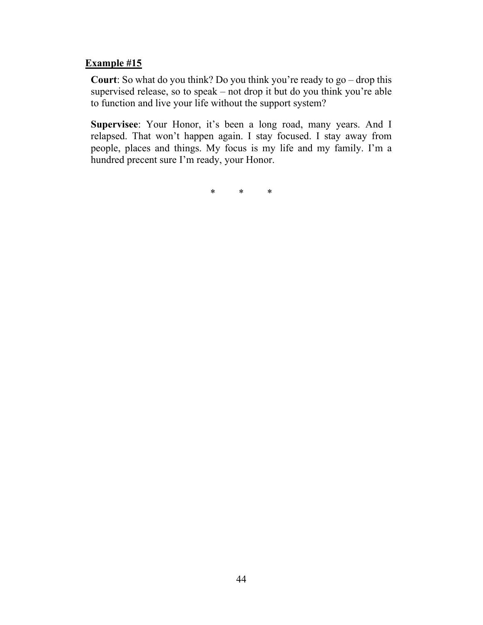# **Example #15**

**Court**: So what do you think? Do you think you're ready to go – drop this supervised release, so to speak – not drop it but do you think you're able to function and live your life without the support system?

**Supervisee**: Your Honor, it's been a long road, many years. And I relapsed. That won't happen again. I stay focused. I stay away from people, places and things. My focus is my life and my family. I'm a hundred precent sure I'm ready, your Honor.

\* \* \*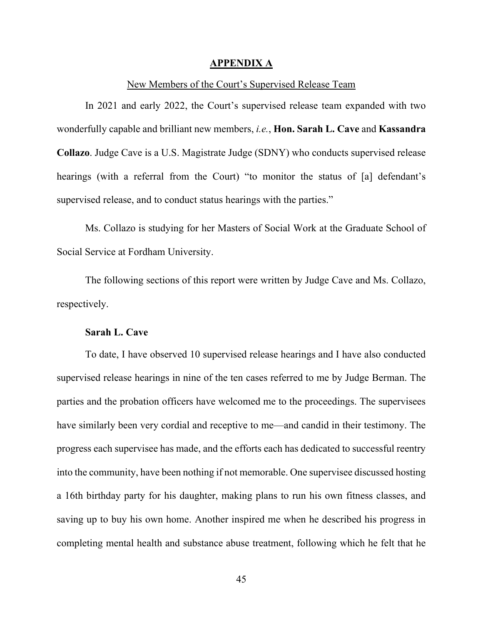#### **APPENDIX A**

#### New Members of the Court's Supervised Release Team

<span id="page-46-0"></span>In 2021 and early 2022, the Court's supervised release team expanded with two wonderfully capable and brilliant new members, *i.e.*, **Hon. Sarah L. Cave** and **Kassandra Collazo**. Judge Cave is a U.S. Magistrate Judge (SDNY) who conducts supervised release hearings (with a referral from the Court) "to monitor the status of [a] defendant's supervised release, and to conduct status hearings with the parties."

Ms. Collazo is studying for her Masters of Social Work at the Graduate School of Social Service at Fordham University.

The following sections of this report were written by Judge Cave and Ms. Collazo, respectively.

#### **Sarah L. Cave**

To date, I have observed 10 supervised release hearings and I have also conducted supervised release hearings in nine of the ten cases referred to me by Judge Berman. The parties and the probation officers have welcomed me to the proceedings. The supervisees have similarly been very cordial and receptive to me—and candid in their testimony. The progress each supervisee has made, and the efforts each has dedicated to successful reentry into the community, have been nothing if not memorable. One supervisee discussed hosting a 16th birthday party for his daughter, making plans to run his own fitness classes, and saving up to buy his own home. Another inspired me when he described his progress in completing mental health and substance abuse treatment, following which he felt that he